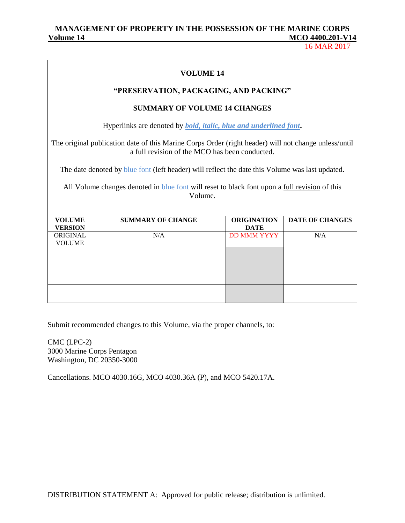16 MAR 2017

|                                 | <b>VOLUME 14</b>                                                                                                                                       |                                   |                        |  |  |
|---------------------------------|--------------------------------------------------------------------------------------------------------------------------------------------------------|-----------------------------------|------------------------|--|--|
|                                 | "PRESERVATION, PACKAGING, AND PACKING"                                                                                                                 |                                   |                        |  |  |
|                                 | <b>SUMMARY OF VOLUME 14 CHANGES</b>                                                                                                                    |                                   |                        |  |  |
|                                 | Hyperlinks are denoted by <b><i>bold, italic, blue and underlined font.</i></b>                                                                        |                                   |                        |  |  |
|                                 | The original publication date of this Marine Corps Order (right header) will not change unless/until<br>a full revision of the MCO has been conducted. |                                   |                        |  |  |
|                                 | The date denoted by blue font (left header) will reflect the date this Volume was last updated.                                                        |                                   |                        |  |  |
|                                 | All Volume changes denoted in blue font will reset to black font upon a full revision of this<br>Volume.                                               |                                   |                        |  |  |
| <b>VOLUME</b><br><b>VERSION</b> | <b>SUMMARY OF CHANGE</b>                                                                                                                               | <b>ORIGINATION</b><br><b>DATE</b> | <b>DATE OF CHANGES</b> |  |  |
| ORIGINAL<br><b>VOLUME</b>       | N/A                                                                                                                                                    | <b>DD MMM YYYY</b>                | N/A                    |  |  |
|                                 |                                                                                                                                                        |                                   |                        |  |  |
|                                 |                                                                                                                                                        |                                   |                        |  |  |
|                                 |                                                                                                                                                        |                                   |                        |  |  |
|                                 |                                                                                                                                                        |                                   |                        |  |  |

Submit recommended changes to this Volume, via the proper channels, to:

CMC (LPC-2) 3000 Marine Corps Pentagon Washington, DC 20350-3000

Cancellations. MCO 4030.16G, MCO 4030.36A (P), and MCO 5420.17A.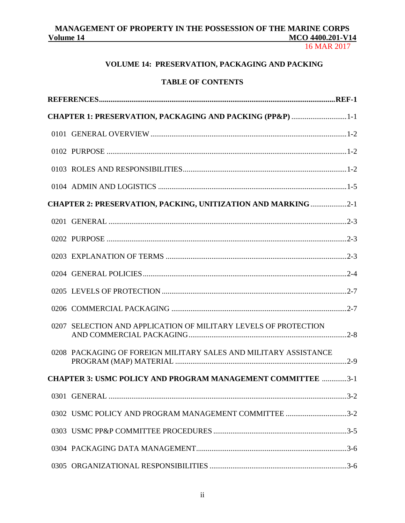16 MAR 2017

# **VOLUME 14: PRESERVATION, PACKAGING AND PACKING**

# **TABLE OF CONTENTS**

| CHAPTER 1: PRESERVATION, PACKAGING AND PACKING (PP&P) 1-1            |  |
|----------------------------------------------------------------------|--|
|                                                                      |  |
|                                                                      |  |
|                                                                      |  |
|                                                                      |  |
| <b>CHAPTER 2: PRESERVATION, PACKING, UNITIZATION AND MARKING 2-1</b> |  |
|                                                                      |  |
|                                                                      |  |
|                                                                      |  |
|                                                                      |  |
|                                                                      |  |
|                                                                      |  |
| 0207 SELECTION AND APPLICATION OF MILITARY LEVELS OF PROTECTION      |  |
| 0208 PACKAGING OF FOREIGN MILITARY SALES AND MILITARY ASSISTANCE     |  |
| <b>CHAPTER 3: USMC POLICY AND PROGRAM MANAGEMENT COMMITTEE 3-1</b>   |  |
|                                                                      |  |
| 0302 USMC POLICY AND PROGRAM MANAGEMENT COMMITTEE 3-2                |  |
|                                                                      |  |
|                                                                      |  |
|                                                                      |  |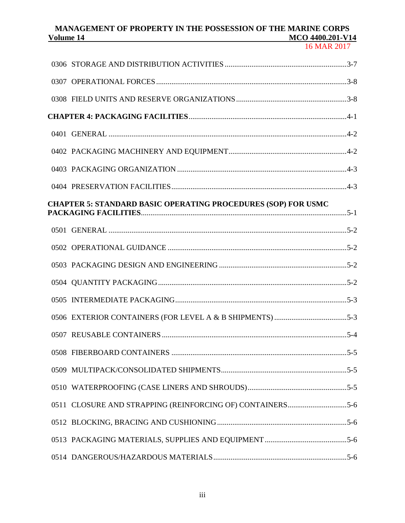# MANAGEMENT OF PROPERTY IN THE POSSESSION OF THE MARINE CORPS<br>MCO 4400.201-V14 **Volume 14** Material **McCollection McCollection McCollection McCollection McCollection McCollection McCollection McCollection McCollection McCollection McCollection McCollection McCollection McCol**

| <b>CHAPTER 5: STANDARD BASIC OPERATING PROCEDURES (SOP) FOR USMC</b> |
|----------------------------------------------------------------------|
|                                                                      |
|                                                                      |
|                                                                      |
|                                                                      |
|                                                                      |
|                                                                      |
|                                                                      |
|                                                                      |
|                                                                      |
|                                                                      |
|                                                                      |
|                                                                      |
|                                                                      |
|                                                                      |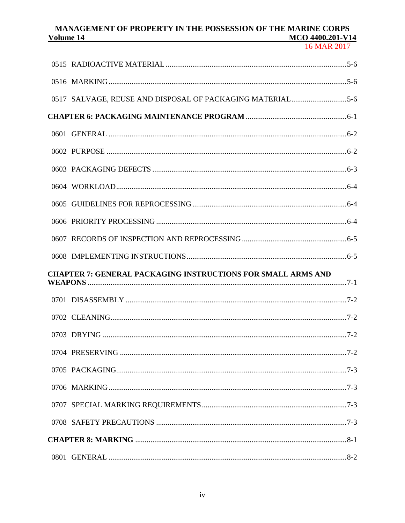| <b>CHAPTER 7: GENERAL PACKAGING INSTRUCTIONS FOR SMALL ARMS AND</b> |
|---------------------------------------------------------------------|
|                                                                     |
|                                                                     |
|                                                                     |
|                                                                     |
|                                                                     |
|                                                                     |
|                                                                     |
|                                                                     |
|                                                                     |
|                                                                     |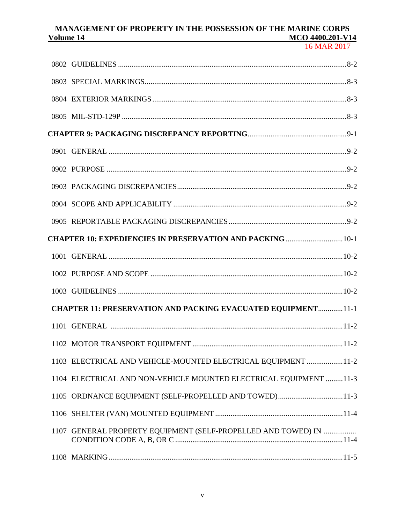|      | <b>CHAPTER 10: EXPEDIENCIES IN PRESERVATION AND PACKING  10-1</b>   |
|------|---------------------------------------------------------------------|
|      |                                                                     |
|      |                                                                     |
|      |                                                                     |
|      | <b>CHAPTER 11: PRESERVATION AND PACKING EVACUATED EQUIPMENT11-1</b> |
|      |                                                                     |
|      |                                                                     |
|      | 1103 ELECTRICAL AND VEHICLE-MOUNTED ELECTRICAL EQUIPMENT 11-2       |
|      | 1104 ELECTRICAL AND NON-VEHICLE MOUNTED ELECTRICAL EQUIPMENT 11-3   |
|      | 1105 ORDNANCE EQUIPMENT (SELF-PROPELLED AND TOWED)11-3              |
|      |                                                                     |
| 1107 | GENERAL PROPERTY EQUIPMENT (SELF-PROPELLED AND TOWED) IN            |
|      |                                                                     |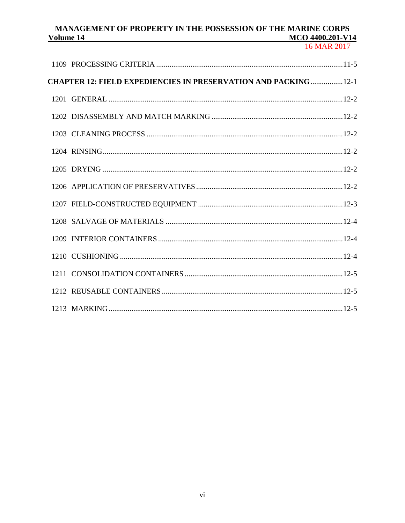| <b>CHAPTER 12: FIELD EXPEDIENCIES IN PRESERVATION AND PACKING  12-1</b> |  |
|-------------------------------------------------------------------------|--|
|                                                                         |  |
|                                                                         |  |
|                                                                         |  |
|                                                                         |  |
|                                                                         |  |
|                                                                         |  |
|                                                                         |  |
|                                                                         |  |
|                                                                         |  |
|                                                                         |  |
|                                                                         |  |
|                                                                         |  |
|                                                                         |  |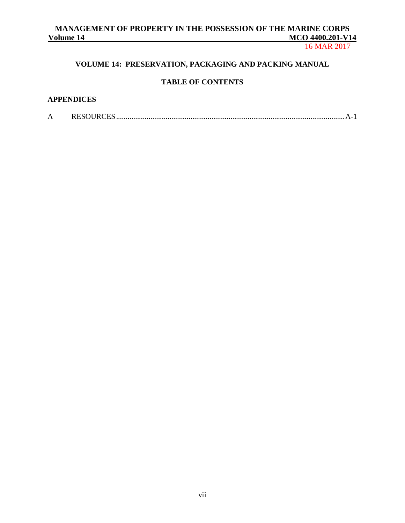16 MAR 2017

# **VOLUME 14: PRESERVATION, PACKAGING AND PACKING MANUAL**

# **TABLE OF CONTENTS**

# **APPENDICES**

| А | <b>NEMUNU</b> |  |  |
|---|---------------|--|--|
|---|---------------|--|--|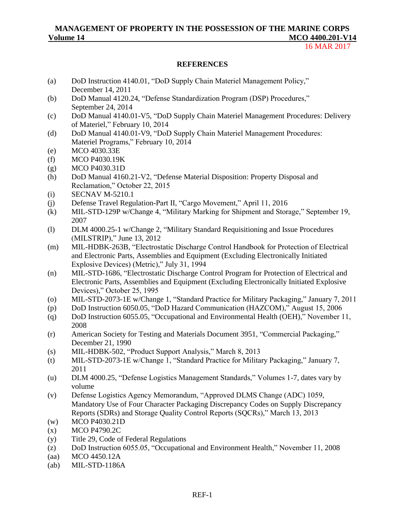16 MAR 2017

#### **REFERENCES**

- (a) DoD Instruction 4140.01, "DoD Supply Chain Materiel Management Policy," December 14, 2011
- (b) DoD Manual 4120.24, "Defense Standardization Program (DSP) Procedures," September 24, 2014
- (c) DoD Manual 4140.01-V5, "DoD Supply Chain Materiel Management Procedures: Delivery of Materiel," February 10, 2014
- (d) DoD Manual 4140.01-V9, "DoD Supply Chain Materiel Management Procedures: Materiel Programs," February 10, 2014
- (e) MCO 4030.33E
- (f) MCO P4030.19K
- (g) MCO P4030.31D
- (h) DoD Manual 4160.21-V2, "Defense Material Disposition: Property Disposal and Reclamation," October 22, 2015
- (i) SECNAV M-5210.1
- (j) Defense Travel Regulation-Part II, "Cargo Movement," April 11, 2016
- (k) MIL-STD-129P w/Change 4, "Military Marking for Shipment and Storage," September 19, 2007
- (l) DLM 4000.25-1 w/Change 2, "Military Standard Requisitioning and Issue Procedures (MILSTRIP)," June 13, 2012
- (m) MIL-HDBK-263B, "Electrostatic Discharge Control Handbook for Protection of Electrical and Electronic Parts, Assemblies and Equipment (Excluding Electronically Initiated Explosive Devices) (Metric)," July 31, 1994
- (n) [MIL-STD-1686,](https://tcgmail.columbiagroup.com/owa/?ae=Item&a=Open&t=IPM.Note&id=RgAAAAC%2bW9Z9BYSYT6HUVW7cz5iEBwCnellyxLVhQKBhf60MWrcQAAAAbfXPAACnellyxLVhQKBhf60MWrcQAAAEiPfhAAAJ&smime=SSL%3a1%3bVer%3a14.3.123.2&pspid=_1423251891268_155436863) "Electrostatic Discharge Control Program for Protection of Electrical and Electronic Parts, Assemblies and Equipment (Excluding Electronically Initiated Explosive Devices)," October 25, 1995
- (o) MIL-STD-2073-1E w/Change 1, "Standard Practice for Military Packaging," January 7, 2011
- (p) DoD Instruction 6050.05, "DoD Hazard Communication (HAZCOM)," August 15, 2006
- (q) DoD Instruction 6055.05, "Occupational and Environmental Health (OEH)," November 11, 2008
- (r) American Society for Testing and Materials Document 3951, "Commercial Packaging," December 21, 1990
- (s) MIL-HDBK-502, "Product Support Analysis," March 8, 2013
- (t) MIL-STD-2073-1E w/Change 1, "Standard Practice for Military Packaging," January 7, 2011
- (u) DLM 4000.25, "Defense Logistics Management Standards," Volumes 1-7, dates vary by volume
- (v) Defense Logistics Agency Memorandum, "Approved DLMS Change (ADC) 1059, Mandatory Use of Four Character Packaging Discrepancy Codes on Supply Discrepancy Reports (SDRs) and Storage Quality Control Reports (SQCRs)," March 13, 2013
- (w) MCO P4030.21D
- (x) MCO P4790.2C
- (y) Title 29, Code of Federal Regulations
- (z) DoD Instruction 6055.05, "Occupational and Environment Health," November 11, 2008
- (aa) MCO 4450.12A
- (ab) MIL-STD-1186A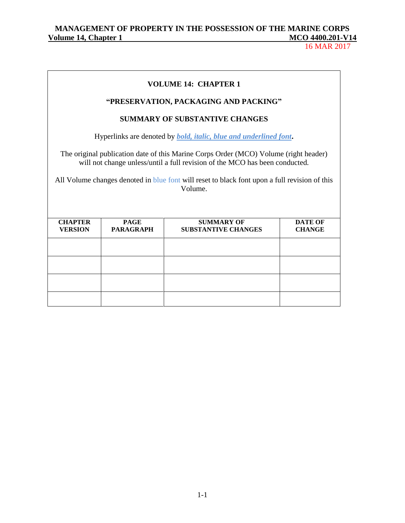# MANAGEMENT OF PROPERTY IN THE POSSESSION OF THE MARINE CORPS<br>
<u>Olume 14, Chapter 1</u> **Volume 14, Chapter 1** McConstanting 14, Chapter 1

|                                                                                                                                                                                                                                                                                 |                                 | <b>VOLUME 14: CHAPTER 1</b>                     |                                 |
|---------------------------------------------------------------------------------------------------------------------------------------------------------------------------------------------------------------------------------------------------------------------------------|---------------------------------|-------------------------------------------------|---------------------------------|
|                                                                                                                                                                                                                                                                                 |                                 | "PRESERVATION, PACKAGING AND PACKING"           |                                 |
|                                                                                                                                                                                                                                                                                 |                                 | <b>SUMMARY OF SUBSTANTIVE CHANGES</b>           |                                 |
| Hyperlinks are denoted by <i>bold, italic, blue and underlined font</i> .                                                                                                                                                                                                       |                                 |                                                 |                                 |
| The original publication date of this Marine Corps Order (MCO) Volume (right header)<br>will not change unless/until a full revision of the MCO has been conducted.<br>All Volume changes denoted in blue font will reset to black font upon a full revision of this<br>Volume. |                                 |                                                 |                                 |
| <b>CHAPTER</b><br><b>VERSION</b>                                                                                                                                                                                                                                                | <b>PAGE</b><br><b>PARAGRAPH</b> | <b>SUMMARY OF</b><br><b>SUBSTANTIVE CHANGES</b> | <b>DATE OF</b><br><b>CHANGE</b> |
|                                                                                                                                                                                                                                                                                 |                                 |                                                 |                                 |
|                                                                                                                                                                                                                                                                                 |                                 |                                                 |                                 |
|                                                                                                                                                                                                                                                                                 |                                 |                                                 |                                 |
|                                                                                                                                                                                                                                                                                 |                                 |                                                 |                                 |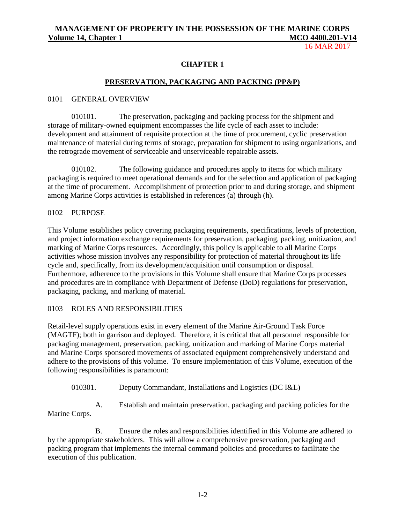16 MAR 2017

## **CHAPTER 1**

## **PRESERVATION, PACKAGING AND PACKING (PP&P)**

#### 0101 GENERAL OVERVIEW

010101. The preservation, packaging and packing process for the shipment and storage of military-owned equipment encompasses the life cycle of each asset to include: development and attainment of requisite protection at the time of procurement, cyclic preservation maintenance of material during terms of storage, preparation for shipment to using organizations, and the retrograde movement of serviceable and unserviceable repairable assets.

010102. The following guidance and procedures apply to items for which military packaging is required to meet operational demands and for the selection and application of packaging at the time of procurement. Accomplishment of protection prior to and during storage, and shipment among Marine Corps activities is established in references (a) through (h).

#### 0102 PURPOSE

This Volume establishes policy covering packaging requirements, specifications, levels of protection, and project information exchange requirements for preservation, packaging, packing, unitization, and marking of Marine Corps resources. Accordingly, this policy is applicable to all Marine Corps activities whose mission involves any responsibility for protection of material throughout its life cycle and, specifically, from its development/acquisition until consumption or disposal. Furthermore, adherence to the provisions in this Volume shall ensure that Marine Corps processes and procedures are in compliance with Department of Defense (DoD) regulations for preservation, packaging, packing, and marking of material.

#### 0103 ROLES AND RESPONSIBILITIES

Retail-level supply operations exist in every element of the Marine Air-Ground Task Force (MAGTF); both in garrison and deployed. Therefore, it is critical that all personnel responsible for packaging management, preservation, packing, unitization and marking of Marine Corps material and Marine Corps sponsored movements of associated equipment comprehensively understand and adhere to the provisions of this volume. To ensure implementation of this Volume, execution of the following responsibilities is paramount:

#### 010301. Deputy Commandant, Installations and Logistics (DC I&L)

A. Establish and maintain preservation, packaging and packing policies for the Marine Corps.

B. Ensure the roles and responsibilities identified in this Volume are adhered to by the appropriate stakeholders. This will allow a comprehensive preservation, packaging and packing program that implements the internal command policies and procedures to facilitate the execution of this publication.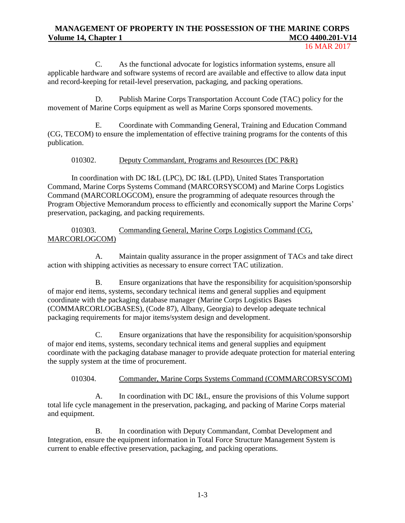16 MAR 2017

C. As the functional advocate for logistics information systems, ensure all applicable hardware and software systems of record are available and effective to allow data input and record-keeping for retail-level preservation, packaging, and packing operations.

D. Publish Marine Corps Transportation Account Code (TAC) policy for the movement of Marine Corps equipment as well as Marine Corps sponsored movements.

E. Coordinate with Commanding General, Training and Education Command (CG, TECOM) to ensure the implementation of effective training programs for the contents of this publication.

# 010302. Deputy Commandant, Programs and Resources (DC P&R)

In coordination with DC I&L (LPC), DC I&L (LPD), United States Transportation Command, Marine Corps Systems Command (MARCORSYSCOM) and Marine Corps Logistics Command (MARCORLOGCOM), ensure the programming of adequate resources through the Program Objective Memorandum process to efficiently and economically support the Marine Corps' preservation, packaging, and packing requirements.

010303. Commanding General, Marine Corps Logistics Command (CG, MARCORLOGCOM)

A. Maintain quality assurance in the proper assignment of TACs and take direct action with shipping activities as necessary to ensure correct TAC utilization.

B. Ensure organizations that have the responsibility for acquisition/sponsorship of major end items, systems, secondary technical items and general supplies and equipment coordinate with the packaging database manager (Marine Corps Logistics Bases (COMMARCORLOGBASES), (Code 87), Albany, Georgia) to develop adequate technical packaging requirements for major items/system design and development.

C. Ensure organizations that have the responsibility for acquisition/sponsorship of major end items, systems, secondary technical items and general supplies and equipment coordinate with the packaging database manager to provide adequate protection for material entering the supply system at the time of procurement.

#### 010304. Commander, Marine Corps Systems Command (COMMARCORSYSCOM)

A. In coordination with DC I&L, ensure the provisions of this Volume support total life cycle management in the preservation, packaging, and packing of Marine Corps material and equipment.

B. In coordination with Deputy Commandant, Combat Development and Integration, ensure the equipment information in Total Force Structure Management System is current to enable effective preservation, packaging, and packing operations.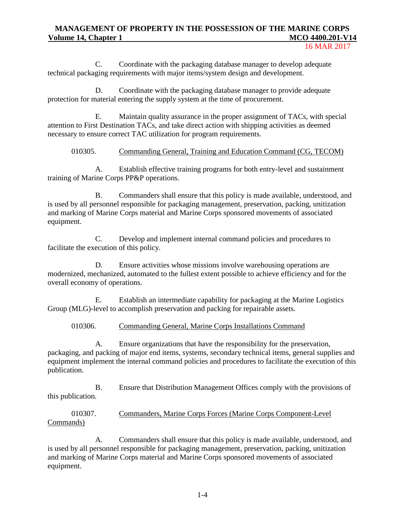16 MAR 2017

C. Coordinate with the packaging database manager to develop adequate technical packaging requirements with major items/system design and development.

D. Coordinate with the packaging database manager to provide adequate protection for material entering the supply system at the time of procurement.

E. Maintain quality assurance in the proper assignment of TACs, with special attention to First Destination TACs, and take direct action with shipping activities as deemed necessary to ensure correct TAC utilization for program requirements.

# 010305. Commanding General, Training and Education Command (CG, TECOM)

A. Establish effective training programs for both entry-level and sustainment training of Marine Corps PP&P operations.

B. Commanders shall ensure that this policy is made available, understood, and is used by all personnel responsible for packaging management, preservation, packing, unitization and marking of Marine Corps material and Marine Corps sponsored movements of associated equipment.

C. Develop and implement internal command policies and procedures to facilitate the execution of this policy.

D. Ensure activities whose missions involve warehousing operations are modernized, mechanized, automated to the fullest extent possible to achieve efficiency and for the overall economy of operations.

E. Establish an intermediate capability for packaging at the Marine Logistics Group (MLG)-level to accomplish preservation and packing for repairable assets.

#### 010306. Commanding General, Marine Corps Installations Command

A. Ensure organizations that have the responsibility for the preservation, packaging, and packing of major end items, systems, secondary technical items, general supplies and equipment implement the internal command policies and procedures to facilitate the execution of this publication.

B. Ensure that Distribution Management Offices comply with the provisions of this publication.

#### 010307. Commanders, Marine Corps Forces (Marine Corps Component-Level Commands)

A. Commanders shall ensure that this policy is made available, understood, and is used by all personnel responsible for packaging management, preservation, packing, unitization and marking of Marine Corps material and Marine Corps sponsored movements of associated equipment.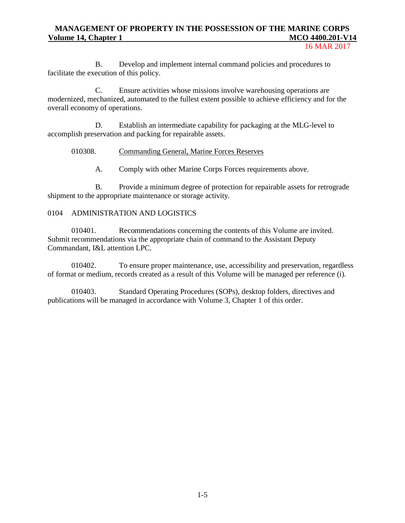16 MAR 2017

B. Develop and implement internal command policies and procedures to facilitate the execution of this policy.

C. Ensure activities whose missions involve warehousing operations are modernized, mechanized, automated to the fullest extent possible to achieve efficiency and for the overall economy of operations.

D. Establish an intermediate capability for packaging at the MLG-level to accomplish preservation and packing for repairable assets.

#### 010308. Commanding General, Marine Forces Reserves

A. Comply with other Marine Corps Forces requirements above.

B. Provide a minimum degree of protection for repairable assets for retrograde shipment to the appropriate maintenance or storage activity.

#### 0104 ADMINISTRATION AND LOGISTICS

010401. Recommendations concerning the contents of this Volume are invited. Submit recommendations via the appropriate chain of command to the Assistant Deputy Commandant, I&L attention LPC.

010402. To ensure proper maintenance, use, accessibility and preservation, regardless of format or medium, records created as a result of this Volume will be managed per reference (i).

010403. Standard Operating Procedures (SOPs), desktop folders, directives and publications will be managed in accordance with Volume 3, Chapter 1 of this order.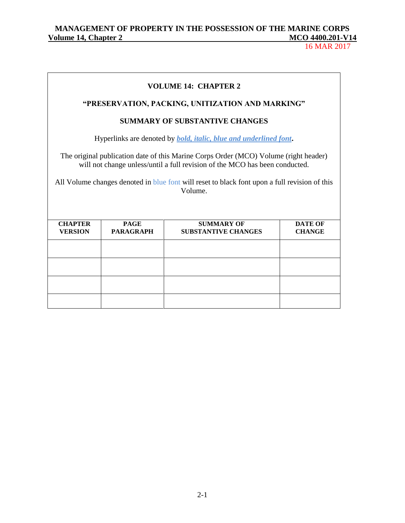# MANAGEMENT OF PROPERTY IN THE POSSESSION OF THE MARINE CORPS<br>
<u>Olume 14, Chapter 2</u> MCO 4400.201-V14</u> **Volume 14, Chapter 2** McConstantial McConstantial McConstantial McConstantial McConstantial McConstantial McConstantial McConstantial McConstantial McConstantial McConstantial McConstantial McConstantial McConstantial McC

|                                                                                                                                                                                                                                                                                 |                                 | <b>VOLUME 14: CHAPTER 2</b>                      |                                 |  |
|---------------------------------------------------------------------------------------------------------------------------------------------------------------------------------------------------------------------------------------------------------------------------------|---------------------------------|--------------------------------------------------|---------------------------------|--|
|                                                                                                                                                                                                                                                                                 |                                 | "PRESERVATION, PACKING, UNITIZATION AND MARKING" |                                 |  |
| <b>SUMMARY OF SUBSTANTIVE CHANGES</b>                                                                                                                                                                                                                                           |                                 |                                                  |                                 |  |
| Hyperlinks are denoted by <b>bold</b> , <i>italic</i> , <i>blue and underlined font</i> .                                                                                                                                                                                       |                                 |                                                  |                                 |  |
| The original publication date of this Marine Corps Order (MCO) Volume (right header)<br>will not change unless/until a full revision of the MCO has been conducted.<br>All Volume changes denoted in blue font will reset to black font upon a full revision of this<br>Volume. |                                 |                                                  |                                 |  |
| <b>CHAPTER</b><br><b>VERSION</b>                                                                                                                                                                                                                                                | <b>PAGE</b><br><b>PARAGRAPH</b> | <b>SUMMARY OF</b><br><b>SUBSTANTIVE CHANGES</b>  | <b>DATE OF</b><br><b>CHANGE</b> |  |
|                                                                                                                                                                                                                                                                                 |                                 |                                                  |                                 |  |
|                                                                                                                                                                                                                                                                                 |                                 |                                                  |                                 |  |
|                                                                                                                                                                                                                                                                                 |                                 |                                                  |                                 |  |
|                                                                                                                                                                                                                                                                                 |                                 |                                                  |                                 |  |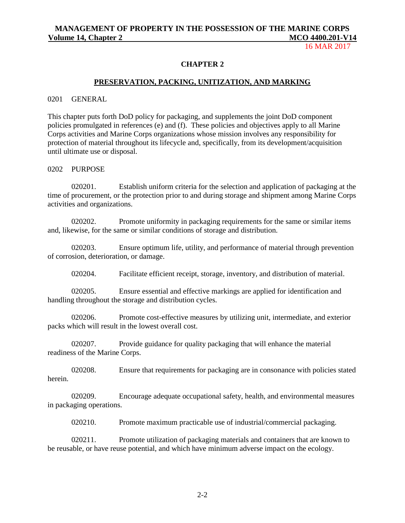16 MAR 2017

#### **CHAPTER 2**

#### **PRESERVATION, PACKING, UNITIZATION, AND MARKING**

#### 0201 GENERAL

This chapter puts forth DoD policy for packaging, and supplements the joint DoD component policies promulgated in references (e) and (f). These policies and objectives apply to all Marine Corps activities and Marine Corps organizations whose mission involves any responsibility for protection of material throughout its lifecycle and, specifically, from its development/acquisition until ultimate use or disposal.

#### 0202 PURPOSE

020201. Establish uniform criteria for the selection and application of packaging at the time of procurement, or the protection prior to and during storage and shipment among Marine Corps activities and organizations.

020202. Promote uniformity in packaging requirements for the same or similar items and, likewise, for the same or similar conditions of storage and distribution.

020203. Ensure optimum life, utility, and performance of material through prevention of corrosion, deterioration, or damage.

020204. Facilitate efficient receipt, storage, inventory, and distribution of material.

020205. Ensure essential and effective markings are applied for identification and handling throughout the storage and distribution cycles.

020206. Promote cost-effective measures by utilizing unit, intermediate, and exterior packs which will result in the lowest overall cost.

020207. Provide guidance for quality packaging that will enhance the material readiness of the Marine Corps.

020208. Ensure that requirements for packaging are in consonance with policies stated herein.

020209. Encourage adequate occupational safety, health, and environmental measures in packaging operations.

020210. Promote maximum practicable use of industrial/commercial packaging.

020211. Promote utilization of packaging materials and containers that are known to be reusable, or have reuse potential, and which have minimum adverse impact on the ecology.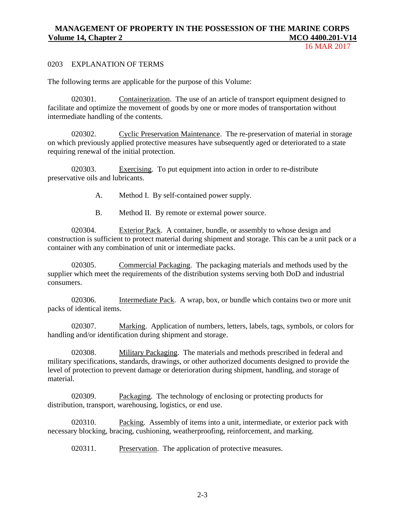16 MAR 2017

#### 0203 EXPLANATION OF TERMS

The following terms are applicable for the purpose of this Volume:

020301. Containerization. The use of an article of transport equipment designed to facilitate and optimize the movement of goods by one or more modes of transportation without intermediate handling of the contents.

020302. Cyclic Preservation Maintenance. The re-preservation of material in storage on which previously applied protective measures have subsequently aged or deteriorated to a state requiring renewal of the initial protection.

020303. Exercising. To put equipment into action in order to re-distribute preservative oils and lubricants.

- A. Method I. By self-contained power supply.
- B. Method II. By remote or external power source.

020304. Exterior Pack. A container, bundle, or assembly to whose design and construction is sufficient to protect material during shipment and storage. This can be a unit pack or a container with any combination of unit or intermediate packs.

020305. Commercial Packaging. The packaging materials and methods used by the supplier which meet the requirements of the distribution systems serving both DoD and industrial consumers.

020306. Intermediate Pack. A wrap, box, or bundle which contains two or more unit packs of identical items.

020307. Marking. Application of numbers, letters, labels, tags, symbols, or colors for handling and/or identification during shipment and storage.

020308. Military Packaging. The materials and methods prescribed in federal and military specifications, standards, drawings, or other authorized documents designed to provide the level of protection to prevent damage or deterioration during shipment, handling, and storage of material.

020309. Packaging. The technology of enclosing or protecting products for distribution, transport, warehousing, logistics, or end use.

020310. Packing. Assembly of items into a unit, intermediate, or exterior pack with necessary blocking, bracing, cushioning, weatherproofing, reinforcement, and marking.

020311. Preservation. The application of protective measures.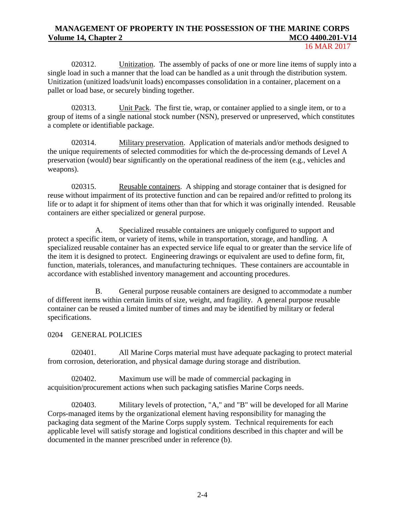16 MAR 2017

020312. Unitization. The assembly of packs of one or more line items of supply into a single load in such a manner that the load can be handled as a unit through the distribution system. Unitization (unitized loads/unit loads) encompasses consolidation in a container, placement on a pallet or load base, or securely binding together.

020313. Unit Pack. The first tie, wrap, or container applied to a single item, or to a group of items of a single national stock number (NSN), preserved or unpreserved, which constitutes a complete or identifiable package.

020314. Military preservation. Application of materials and/or methods designed to the unique requirements of selected commodities for which the de-processing demands of Level A preservation (would) bear significantly on the operational readiness of the item (e.g., vehicles and weapons).

020315. Reusable containers. A shipping and storage container that is designed for reuse without impairment of its protective function and can be repaired and/or refitted to prolong its life or to adapt it for shipment of items other than that for which it was originally intended. Reusable containers are either specialized or general purpose.

A. Specialized reusable containers are uniquely configured to support and protect a specific item, or variety of items, while in transportation, storage, and handling. A specialized reusable container has an expected service life equal to or greater than the service life of the item it is designed to protect. Engineering drawings or equivalent are used to define form, fit, function, materials, tolerances, and manufacturing techniques. These containers are accountable in accordance with established inventory management and accounting procedures.

B. General purpose reusable containers are designed to accommodate a number of different items within certain limits of size, weight, and fragility. A general purpose reusable container can be reused a limited number of times and may be identified by military or federal specifications.

# 0204 GENERAL POLICIES

020401. All Marine Corps material must have adequate packaging to protect material from corrosion, deterioration, and physical damage during storage and distribution.

020402. Maximum use will be made of commercial packaging in acquisition/procurement actions when such packaging satisfies Marine Corps needs.

020403. Military levels of protection, "A," and "B" will be developed for all Marine Corps-managed items by the organizational element having responsibility for managing the packaging data segment of the Marine Corps supply system. Technical requirements for each applicable level will satisfy storage and logistical conditions described in this chapter and will be documented in the manner prescribed under in reference (b).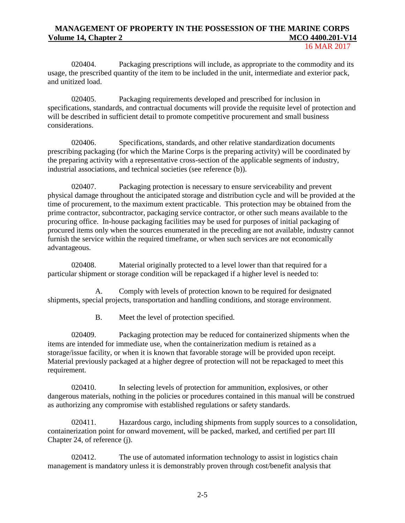16 MAR 2017

020404. Packaging prescriptions will include, as appropriate to the commodity and its usage, the prescribed quantity of the item to be included in the unit, intermediate and exterior pack, and unitized load.

020405. Packaging requirements developed and prescribed for inclusion in specifications, standards, and contractual documents will provide the requisite level of protection and will be described in sufficient detail to promote competitive procurement and small business considerations.

020406. Specifications, standards, and other relative standardization documents prescribing packaging (for which the Marine Corps is the preparing activity) will be coordinated by the preparing activity with a representative cross-section of the applicable segments of industry, industrial associations, and technical societies (see reference (b)).

020407. Packaging protection is necessary to ensure serviceability and prevent physical damage throughout the anticipated storage and distribution cycle and will be provided at the time of procurement, to the maximum extent practicable. This protection may be obtained from the prime contractor, subcontractor, packaging service contractor, or other such means available to the procuring office. In-house packaging facilities may be used for purposes of initial packaging of procured items only when the sources enumerated in the preceding are not available, industry cannot furnish the service within the required timeframe, or when such services are not economically advantageous.

020408. Material originally protected to a level lower than that required for a particular shipment or storage condition will be repackaged if a higher level is needed to:

A. Comply with levels of protection known to be required for designated shipments, special projects, transportation and handling conditions, and storage environment.

B. Meet the level of protection specified.

020409. Packaging protection may be reduced for containerized shipments when the items are intended for immediate use, when the containerization medium is retained as a storage/issue facility, or when it is known that favorable storage will be provided upon receipt. Material previously packaged at a higher degree of protection will not be repackaged to meet this requirement.

020410. In selecting levels of protection for ammunition, explosives, or other dangerous materials, nothing in the policies or procedures contained in this manual will be construed as authorizing any compromise with established regulations or safety standards.

020411. Hazardous cargo, including shipments from supply sources to a consolidation, containerization point for onward movement, will be packed, marked, and certified per part III Chapter 24, of reference (j).

020412. The use of automated information technology to assist in logistics chain management is mandatory unless it is demonstrably proven through cost/benefit analysis that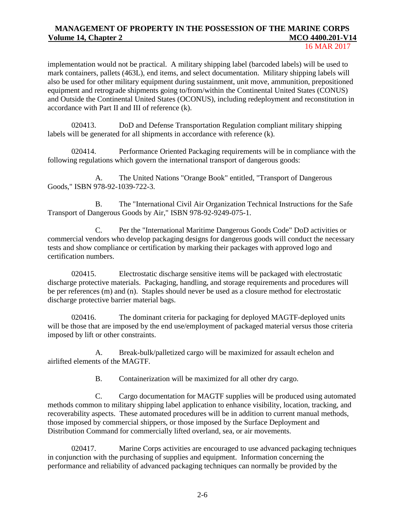#### 16 MAR 2017

implementation would not be practical. A military shipping label (barcoded labels) will be used to mark containers, pallets (463L), end items, and select documentation. Military shipping labels will also be used for other military equipment during sustainment, unit move, ammunition, prepositioned equipment and retrograde shipments going to/from/within the Continental United States (CONUS) and Outside the Continental United States (OCONUS), including redeployment and reconstitution in accordance with Part II and III of reference (k).

020413. DoD and Defense Transportation Regulation compliant military shipping labels will be generated for all shipments in accordance with reference (k).

020414. Performance Oriented Packaging requirements will be in compliance with the following regulations which govern the international transport of dangerous goods:

A. The United Nations "Orange Book" entitled, "Transport of Dangerous Goods," ISBN 978-92-1039-722-3.

B. The "International Civil Air Organization Technical Instructions for the Safe Transport of Dangerous Goods by Air," ISBN 978-92-9249-075-1.

C. Per the "International Maritime Dangerous Goods Code" DoD activities or commercial vendors who develop packaging designs for dangerous goods will conduct the necessary tests and show compliance or certification by marking their packages with approved logo and certification numbers.

020415. Electrostatic discharge sensitive items will be packaged with electrostatic discharge protective materials. Packaging, handling, and storage requirements and procedures will be per references (m) and (n). Staples should never be used as a closure method for electrostatic discharge protective barrier material bags.

020416. The dominant criteria for packaging for deployed MAGTF-deployed units will be those that are imposed by the end use/employment of packaged material versus those criteria imposed by lift or other constraints.

A. Break-bulk/palletized cargo will be maximized for assault echelon and airlifted elements of the MAGTF.

B. Containerization will be maximized for all other dry cargo.

C. Cargo documentation for MAGTF supplies will be produced using automated methods common to military shipping label application to enhance visibility, location, tracking, and recoverability aspects. These automated procedures will be in addition to current manual methods, those imposed by commercial shippers, or those imposed by the Surface Deployment and Distribution Command for commercially lifted overland, sea, or air movements.

020417. Marine Corps activities are encouraged to use advanced packaging techniques in conjunction with the purchasing of supplies and equipment. Information concerning the performance and reliability of advanced packaging techniques can normally be provided by the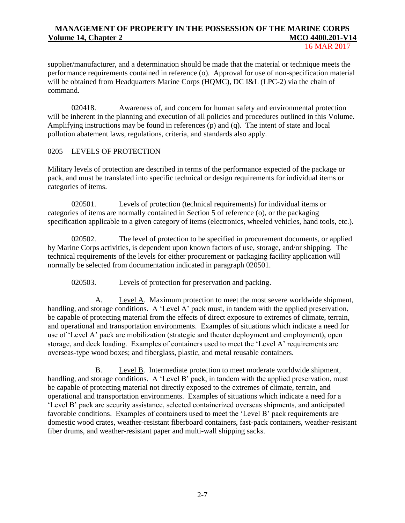16 MAR 2017

supplier/manufacturer, and a determination should be made that the material or technique meets the performance requirements contained in reference (o). Approval for use of non-specification material will be obtained from Headquarters Marine Corps (HQMC), DC I&L (LPC-2) via the chain of command.

020418. Awareness of, and concern for human safety and environmental protection will be inherent in the planning and execution of all policies and procedures outlined in this Volume. Amplifying instructions may be found in references (p) and (q). The intent of state and local pollution abatement laws, regulations, criteria, and standards also apply.

## 0205 LEVELS OF PROTECTION

Military levels of protection are described in terms of the performance expected of the package or pack, and must be translated into specific technical or design requirements for individual items or categories of items.

020501. Levels of protection (technical requirements) for individual items or categories of items are normally contained in Section 5 of reference (o), or the packaging specification applicable to a given category of items (electronics, wheeled vehicles, hand tools, etc.).

020502. The level of protection to be specified in procurement documents, or applied by Marine Corps activities, is dependent upon known factors of use, storage, and/or shipping. The technical requirements of the levels for either procurement or packaging facility application will normally be selected from documentation indicated in paragraph 020501.

020503. Levels of protection for preservation and packing.

A. Level A. Maximum protection to meet the most severe worldwide shipment, handling, and storage conditions. A 'Level A' pack must, in tandem with the applied preservation, be capable of protecting material from the effects of direct exposure to extremes of climate, terrain, and operational and transportation environments. Examples of situations which indicate a need for use of 'Level A' pack are mobilization (strategic and theater deployment and employment), open storage, and deck loading. Examples of containers used to meet the 'Level A' requirements are overseas-type wood boxes; and fiberglass, plastic, and metal reusable containers.

B. Level B. Intermediate protection to meet moderate worldwide shipment, handling, and storage conditions. A 'Level B' pack, in tandem with the applied preservation, must be capable of protecting material not directly exposed to the extremes of climate, terrain, and operational and transportation environments. Examples of situations which indicate a need for a 'Level B' pack are security assistance, selected containerized overseas shipments, and anticipated favorable conditions. Examples of containers used to meet the 'Level B' pack requirements are domestic wood crates, weather-resistant fiberboard containers, fast-pack containers, weather-resistant fiber drums, and weather-resistant paper and multi-wall shipping sacks.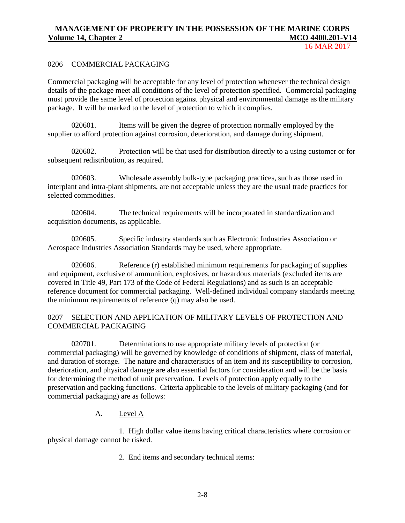### 0206 COMMERCIAL PACKAGING

Commercial packaging will be acceptable for any level of protection whenever the technical design details of the package meet all conditions of the level of protection specified. Commercial packaging must provide the same level of protection against physical and environmental damage as the military package. It will be marked to the level of protection to which it complies.

020601. Items will be given the degree of protection normally employed by the supplier to afford protection against corrosion, deterioration, and damage during shipment.

020602. Protection will be that used for distribution directly to a using customer or for subsequent redistribution, as required.

020603. Wholesale assembly bulk-type packaging practices, such as those used in interplant and intra-plant shipments, are not acceptable unless they are the usual trade practices for selected commodities.

020604. The technical requirements will be incorporated in standardization and acquisition documents, as applicable.

020605. Specific industry standards such as Electronic Industries Association or Aerospace Industries Association Standards may be used, where appropriate.

020606. Reference (r) established minimum requirements for packaging of supplies and equipment, exclusive of ammunition, explosives, or hazardous materials (excluded items are covered in Title 49, Part 173 of the Code of Federal Regulations) and as such is an acceptable reference document for commercial packaging. Well-defined individual company standards meeting the minimum requirements of reference (q) may also be used.

# 0207 SELECTION AND APPLICATION OF MILITARY LEVELS OF PROTECTION AND COMMERCIAL PACKAGING

020701. Determinations to use appropriate military levels of protection (or commercial packaging) will be governed by knowledge of conditions of shipment, class of material, and duration of storage. The nature and characteristics of an item and its susceptibility to corrosion, deterioration, and physical damage are also essential factors for consideration and will be the basis for determining the method of unit preservation. Levels of protection apply equally to the preservation and packing functions. Criteria applicable to the levels of military packaging (and for commercial packaging) are as follows:

# A. Level A

1. High dollar value items having critical characteristics where corrosion or physical damage cannot be risked.

2. End items and secondary technical items: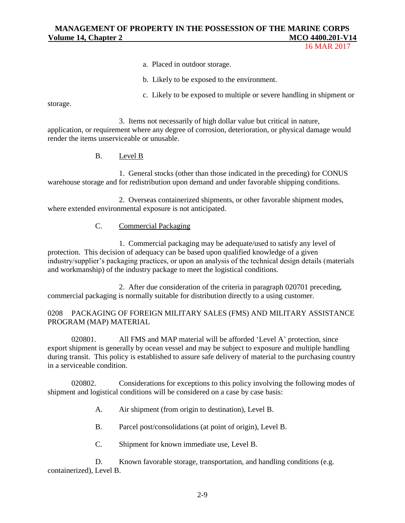16 MAR 2017

- a. Placed in outdoor storage.
- b. Likely to be exposed to the environment.
- c. Likely to be exposed to multiple or severe handling in shipment or

storage.

3. Items not necessarily of high dollar value but critical in nature, application, or requirement where any degree of corrosion, deterioration, or physical damage would render the items unserviceable or unusable.

B. Level B

1. General stocks (other than those indicated in the preceding) for CONUS warehouse storage and for redistribution upon demand and under favorable shipping conditions.

2. Overseas containerized shipments, or other favorable shipment modes, where extended environmental exposure is not anticipated.

# C. Commercial Packaging

1. Commercial packaging may be adequate/used to satisfy any level of protection. This decision of adequacy can be based upon qualified knowledge of a given industry/supplier's packaging practices, or upon an analysis of the technical design details (materials and workmanship) of the industry package to meet the logistical conditions.

2. After due consideration of the criteria in paragraph 020701 preceding, commercial packaging is normally suitable for distribution directly to a using customer.

# 0208 PACKAGING OF FOREIGN MILITARY SALES (FMS) AND MILITARY ASSISTANCE PROGRAM (MAP) MATERIAL

020801. All FMS and MAP material will be afforded 'Level A' protection, since export shipment is generally by ocean vessel and may be subject to exposure and multiple handling during transit. This policy is established to assure safe delivery of material to the purchasing country in a serviceable condition.

020802. Considerations for exceptions to this policy involving the following modes of shipment and logistical conditions will be considered on a case by case basis:

A. Air shipment (from origin to destination), Level B.

B. Parcel post/consolidations (at point of origin), Level B.

C. Shipment for known immediate use, Level B.

D. Known favorable storage, transportation, and handling conditions (e.g. containerized), Level B.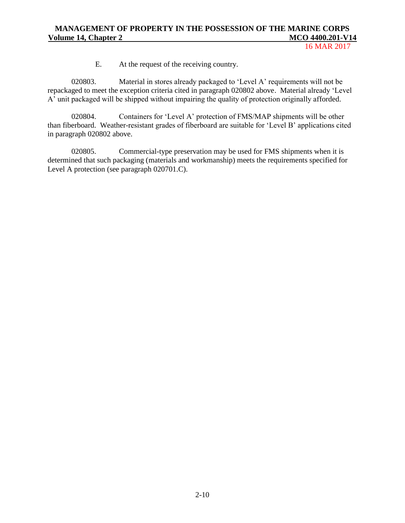16 MAR 2017

E. At the request of the receiving country.

020803. Material in stores already packaged to 'Level A' requirements will not be repackaged to meet the exception criteria cited in paragraph 020802 above. Material already 'Level A' unit packaged will be shipped without impairing the quality of protection originally afforded.

020804. Containers for 'Level A' protection of FMS/MAP shipments will be other than fiberboard. Weather-resistant grades of fiberboard are suitable for 'Level B' applications cited in paragraph 020802 above.

020805. Commercial-type preservation may be used for FMS shipments when it is determined that such packaging (materials and workmanship) meets the requirements specified for Level A protection (see paragraph 020701.C).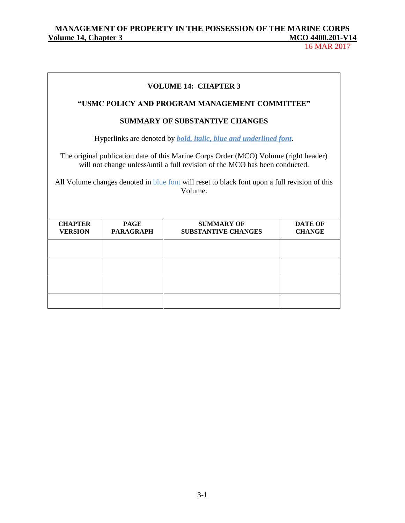|                                                                                                                                                                                                                                                                                 |                                 | <b>VOLUME 14: CHAPTER 3</b><br>"USMC POLICY AND PROGRAM MANAGEMENT COMMITTEE" |                                 |  |
|---------------------------------------------------------------------------------------------------------------------------------------------------------------------------------------------------------------------------------------------------------------------------------|---------------------------------|-------------------------------------------------------------------------------|---------------------------------|--|
|                                                                                                                                                                                                                                                                                 |                                 | <b>SUMMARY OF SUBSTANTIVE CHANGES</b>                                         |                                 |  |
| Hyperlinks are denoted by <i>bold, italic, blue and underlined font</i> .                                                                                                                                                                                                       |                                 |                                                                               |                                 |  |
| The original publication date of this Marine Corps Order (MCO) Volume (right header)<br>will not change unless/until a full revision of the MCO has been conducted.<br>All Volume changes denoted in blue font will reset to black font upon a full revision of this<br>Volume. |                                 |                                                                               |                                 |  |
| <b>CHAPTER</b><br><b>VERSION</b>                                                                                                                                                                                                                                                | <b>PAGE</b><br><b>PARAGRAPH</b> | <b>SUMMARY OF</b><br><b>SUBSTANTIVE CHANGES</b>                               | <b>DATE OF</b><br><b>CHANGE</b> |  |
|                                                                                                                                                                                                                                                                                 |                                 |                                                                               |                                 |  |
|                                                                                                                                                                                                                                                                                 |                                 |                                                                               |                                 |  |
|                                                                                                                                                                                                                                                                                 |                                 |                                                                               |                                 |  |
|                                                                                                                                                                                                                                                                                 |                                 |                                                                               |                                 |  |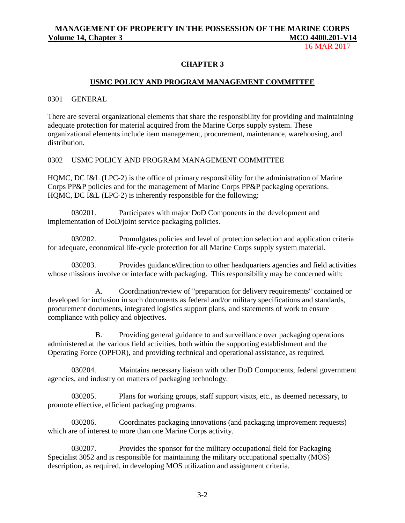16 MAR 2017

#### **CHAPTER 3**

#### **USMC POLICY AND PROGRAM MANAGEMENT COMMITTEE**

0301 GENERAL

There are several organizational elements that share the responsibility for providing and maintaining adequate protection for material acquired from the Marine Corps supply system. These organizational elements include item management, procurement, maintenance, warehousing, and distribution.

0302 USMC POLICY AND PROGRAM MANAGEMENT COMMITTEE

HQMC, DC I&L (LPC-2) is the office of primary responsibility for the administration of Marine Corps PP&P policies and for the management of Marine Corps PP&P packaging operations. HQMC, DC I&L (LPC-2) is inherently responsible for the following:

030201. Participates with major DoD Components in the development and implementation of DoD/joint service packaging policies.

030202. Promulgates policies and level of protection selection and application criteria for adequate, economical life-cycle protection for all Marine Corps supply system material.

030203. Provides guidance/direction to other headquarters agencies and field activities whose missions involve or interface with packaging. This responsibility may be concerned with:

A. Coordination/review of "preparation for delivery requirements" contained or developed for inclusion in such documents as federal and/or military specifications and standards, procurement documents, integrated logistics support plans, and statements of work to ensure compliance with policy and objectives.

B. Providing general guidance to and surveillance over packaging operations administered at the various field activities, both within the supporting establishment and the Operating Force (OPFOR), and providing technical and operational assistance, as required.

030204. Maintains necessary liaison with other DoD Components, federal government agencies, and industry on matters of packaging technology.

030205. Plans for working groups, staff support visits, etc., as deemed necessary, to promote effective, efficient packaging programs.

030206. Coordinates packaging innovations (and packaging improvement requests) which are of interest to more than one Marine Corps activity.

030207. Provides the sponsor for the military occupational field for Packaging Specialist 3052 and is responsible for maintaining the military occupational specialty (MOS) description, as required, in developing MOS utilization and assignment criteria.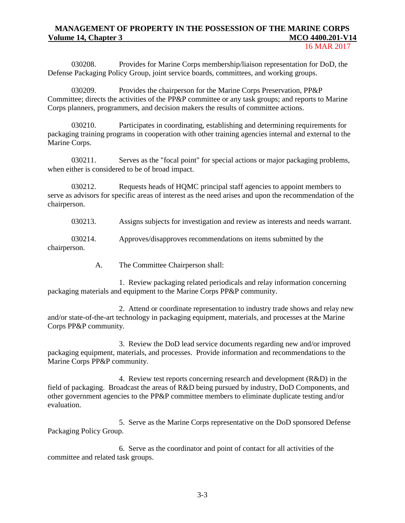030208. Provides for Marine Corps membership/liaison representation for DoD, the Defense Packaging Policy Group, joint service boards, committees, and working groups.

030209. Provides the chairperson for the Marine Corps Preservation, PP&P Committee; directs the activities of the PP&P committee or any task groups; and reports to Marine Corps planners, programmers, and decision makers the results of committee actions.

030210. Participates in coordinating, establishing and determining requirements for packaging training programs in cooperation with other training agencies internal and external to the Marine Corps.

030211. Serves as the "focal point" for special actions or major packaging problems, when either is considered to be of broad impact.

030212. Requests heads of HQMC principal staff agencies to appoint members to serve as advisors for specific areas of interest as the need arises and upon the recommendation of the chairperson.

030213. Assigns subjects for investigation and review as interests and needs warrant.

030214. Approves/disapproves recommendations on items submitted by the chairperson.

A. The Committee Chairperson shall:

1. Review packaging related periodicals and relay information concerning packaging materials and equipment to the Marine Corps PP&P community.

2. Attend or coordinate representation to industry trade shows and relay new and/or state-of-the-art technology in packaging equipment, materials, and processes at the Marine Corps PP&P community.

3. Review the DoD lead service documents regarding new and/or improved packaging equipment, materials, and processes. Provide information and recommendations to the Marine Corps PP&P community.

4. Review test reports concerning research and development (R&D) in the field of packaging. Broadcast the areas of R&D being pursued by industry, DoD Components, and other government agencies to the PP&P committee members to eliminate duplicate testing and/or evaluation.

5. Serve as the Marine Corps representative on the DoD sponsored Defense Packaging Policy Group.

6. Serve as the coordinator and point of contact for all activities of the committee and related task groups.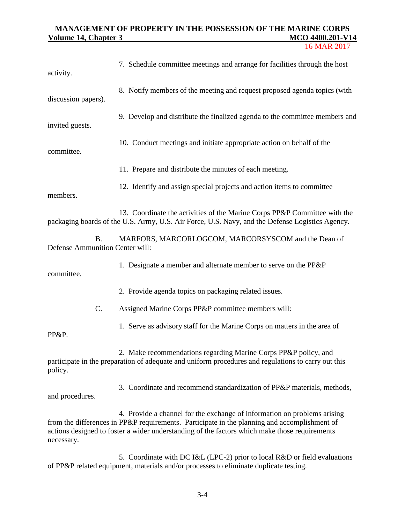# **MANAGEMENT OF PROPERTY IN THE POSSESSION OF THE MARINE CORPS <u>Volume 14, Chapter 3</u>**

| 16 MAR 2017 |
|-------------|
|             |

| activity.                                    | 7. Schedule committee meetings and arrange for facilities through the host                                                                                                                                                                                                |
|----------------------------------------------|---------------------------------------------------------------------------------------------------------------------------------------------------------------------------------------------------------------------------------------------------------------------------|
| discussion papers).                          | 8. Notify members of the meeting and request proposed agenda topics (with                                                                                                                                                                                                 |
| invited guests.                              | 9. Develop and distribute the finalized agenda to the committee members and                                                                                                                                                                                               |
| committee.                                   | 10. Conduct meetings and initiate appropriate action on behalf of the                                                                                                                                                                                                     |
|                                              | 11. Prepare and distribute the minutes of each meeting.                                                                                                                                                                                                                   |
| members.                                     | 12. Identify and assign special projects and action items to committee                                                                                                                                                                                                    |
|                                              | 13. Coordinate the activities of the Marine Corps PP&P Committee with the<br>packaging boards of the U.S. Army, U.S. Air Force, U.S. Navy, and the Defense Logistics Agency.                                                                                              |
| <b>B.</b><br>Defense Ammunition Center will: | MARFORS, MARCORLOGCOM, MARCORSYSCOM and the Dean of                                                                                                                                                                                                                       |
| committee.                                   | 1. Designate a member and alternate member to serve on the PP&P                                                                                                                                                                                                           |
|                                              | 2. Provide agenda topics on packaging related issues.                                                                                                                                                                                                                     |
| C.                                           | Assigned Marine Corps PP&P committee members will:                                                                                                                                                                                                                        |
| PP&P.                                        | 1. Serve as advisory staff for the Marine Corps on matters in the area of                                                                                                                                                                                                 |
| policy.                                      | 2. Make recommendations regarding Marine Corps PP&P policy, and<br>participate in the preparation of adequate and uniform procedures and regulations to carry out this                                                                                                    |
| and procedures.                              | 3. Coordinate and recommend standardization of PP&P materials, methods,                                                                                                                                                                                                   |
| necessary.                                   | 4. Provide a channel for the exchange of information on problems arising<br>from the differences in PP&P requirements. Participate in the planning and accomplishment of<br>actions designed to foster a wider understanding of the factors which make those requirements |

5. Coordinate with DC I&L (LPC-2) prior to local R&D or field evaluations of PP&P related equipment, materials and/or processes to eliminate duplicate testing.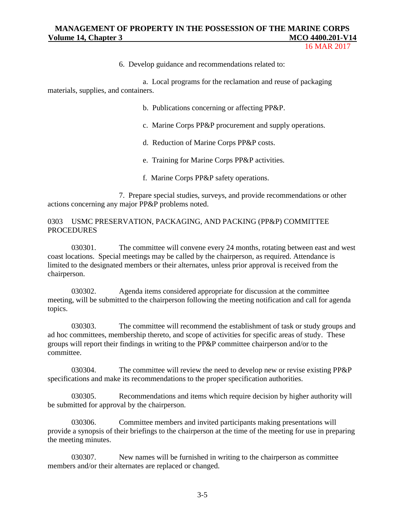16 MAR 2017

6. Develop guidance and recommendations related to:

a. Local programs for the reclamation and reuse of packaging materials, supplies, and containers.

b. Publications concerning or affecting PP&P.

- c. Marine Corps PP&P procurement and supply operations.
- d. Reduction of Marine Corps PP&P costs.
- e. Training for Marine Corps PP&P activities.
- f. Marine Corps PP&P safety operations.

7. Prepare special studies, surveys, and provide recommendations or other actions concerning any major PP&P problems noted.

#### 0303 USMC PRESERVATION, PACKAGING, AND PACKING (PP&P) COMMITTEE **PROCEDURES**

030301. The committee will convene every 24 months, rotating between east and west coast locations. Special meetings may be called by the chairperson, as required. Attendance is limited to the designated members or their alternates, unless prior approval is received from the chairperson.

030302. Agenda items considered appropriate for discussion at the committee meeting, will be submitted to the chairperson following the meeting notification and call for agenda topics.

030303. The committee will recommend the establishment of task or study groups and ad hoc committees, membership thereto, and scope of activities for specific areas of study. These groups will report their findings in writing to the PP&P committee chairperson and/or to the committee.

030304. The committee will review the need to develop new or revise existing PP&P specifications and make its recommendations to the proper specification authorities.

030305. Recommendations and items which require decision by higher authority will be submitted for approval by the chairperson.

030306. Committee members and invited participants making presentations will provide a synopsis of their briefings to the chairperson at the time of the meeting for use in preparing the meeting minutes.

030307. New names will be furnished in writing to the chairperson as committee members and/or their alternates are replaced or changed.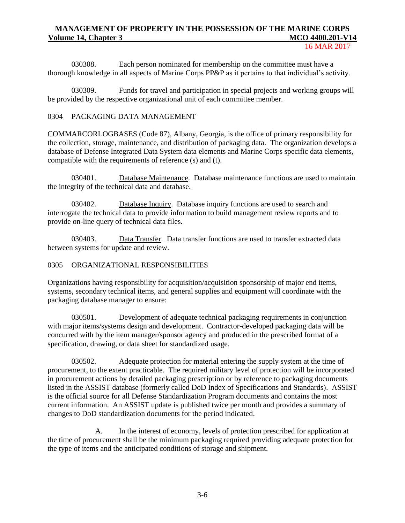#### 16 MAR 2017

030308. Each person nominated for membership on the committee must have a thorough knowledge in all aspects of Marine Corps PP&P as it pertains to that individual's activity.

030309. Funds for travel and participation in special projects and working groups will be provided by the respective organizational unit of each committee member.

#### 0304 PACKAGING DATA MANAGEMENT

COMMARCORLOGBASES (Code 87), Albany, Georgia, is the office of primary responsibility for the collection, storage, maintenance, and distribution of packaging data. The organization develops a database of Defense Integrated Data System data elements and Marine Corps specific data elements, compatible with the requirements of reference (s) and (t).

030401. Database Maintenance. Database maintenance functions are used to maintain the integrity of the technical data and database.

030402. Database Inquiry. Database inquiry functions are used to search and interrogate the technical data to provide information to build management review reports and to provide on-line query of technical data files.

030403. Data Transfer. Data transfer functions are used to transfer extracted data between systems for update and review.

# 0305 ORGANIZATIONAL RESPONSIBILITIES

Organizations having responsibility for acquisition/acquisition sponsorship of major end items, systems, secondary technical items, and general supplies and equipment will coordinate with the packaging database manager to ensure:

030501. Development of adequate technical packaging requirements in conjunction with major items/systems design and development. Contractor-developed packaging data will be concurred with by the item manager/sponsor agency and produced in the prescribed format of a specification, drawing, or data sheet for standardized usage.

030502. Adequate protection for material entering the supply system at the time of procurement, to the extent practicable. The required military level of protection will be incorporated in procurement actions by detailed packaging prescription or by reference to packaging documents listed in the ASSIST database (formerly called DoD Index of Specifications and Standards). ASSIST is the official source for all Defense Standardization Program documents and contains the most current information. An ASSIST update is published twice per month and provides a summary of changes to DoD standardization documents for the period indicated.

A. In the interest of economy, levels of protection prescribed for application at the time of procurement shall be the minimum packaging required providing adequate protection for the type of items and the anticipated conditions of storage and shipment.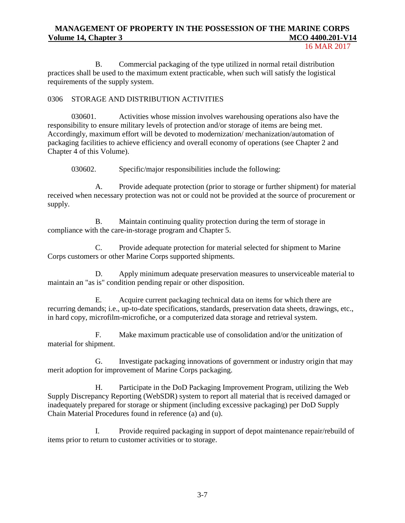16 MAR 2017

B. Commercial packaging of the type utilized in normal retail distribution practices shall be used to the maximum extent practicable, when such will satisfy the logistical requirements of the supply system.

# 0306 STORAGE AND DISTRIBUTION ACTIVITIES

030601. Activities whose mission involves warehousing operations also have the responsibility to ensure military levels of protection and/or storage of items are being met. Accordingly, maximum effort will be devoted to modernization/ mechanization/automation of packaging facilities to achieve efficiency and overall economy of operations (see Chapter 2 and Chapter 4 of this Volume).

030602. Specific/major responsibilities include the following:

A. Provide adequate protection (prior to storage or further shipment) for material received when necessary protection was not or could not be provided at the source of procurement or supply.

B. Maintain continuing quality protection during the term of storage in compliance with the care-in-storage program and Chapter 5.

C. Provide adequate protection for material selected for shipment to Marine Corps customers or other Marine Corps supported shipments.

D. Apply minimum adequate preservation measures to unserviceable material to maintain an "as is" condition pending repair or other disposition.

E. Acquire current packaging technical data on items for which there are recurring demands; i.e., up-to-date specifications, standards, preservation data sheets, drawings, etc., in hard copy, microfilm-microfiche, or a computerized data storage and retrieval system.

F. Make maximum practicable use of consolidation and/or the unitization of material for shipment.

G. Investigate packaging innovations of government or industry origin that may merit adoption for improvement of Marine Corps packaging.

H. Participate in the DoD Packaging Improvement Program, utilizing the Web Supply Discrepancy Reporting (WebSDR) system to report all material that is received damaged or inadequately prepared for storage or shipment (including excessive packaging) per DoD Supply Chain Material Procedures found in reference (a) and (u).

I. Provide required packaging in support of depot maintenance repair/rebuild of items prior to return to customer activities or to storage.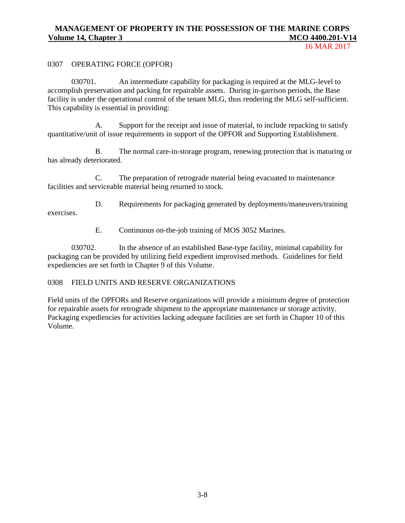#### 0307 OPERATING FORCE (OPFOR)

030701. An intermediate capability for packaging is required at the MLG-level to accomplish preservation and packing for repairable assets. During in-garrison periods, the Base facility is under the operational control of the tenant MLG, thus rendering the MLG self-sufficient. This capability is essential in providing:

A. Support for the receipt and issue of material, to include repacking to satisfy quantitative/unit of issue requirements in support of the OPFOR and Supporting Establishment.

B. The normal care-in-storage program, renewing protection that is maturing or has already deteriorated.

C. The preparation of retrograde material being evacuated to maintenance facilities and serviceable material being returned to stock.

D. Requirements for packaging generated by deployments/maneuvers/training exercises.

E. Continuous on-the-job training of MOS 3052 Marines.

030702. In the absence of an established Base-type facility, minimal capability for packaging can be provided by utilizing field expedient improvised methods. Guidelines for field expediencies are set forth in Chapter 9 of this Volume.

#### 0308 FIELD UNITS AND RESERVE ORGANIZATIONS

Field units of the OPFORs and Reserve organizations will provide a minimum degree of protection for repairable assets for retrograde shipment to the appropriate maintenance or storage activity. Packaging expediencies for activities lacking adequate facilities are set forth in Chapter 10 of this Volume.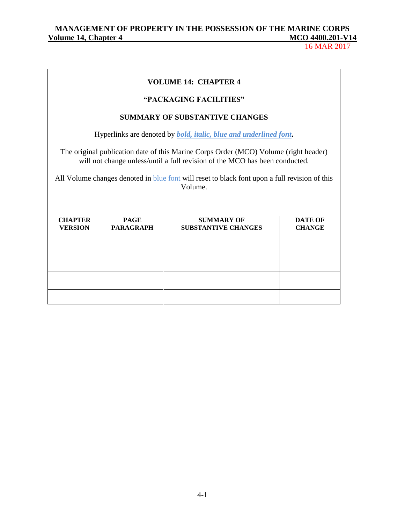# **VOLUME 14: CHAPTER 4**

# **"PACKAGING FACILITIES"**

### **SUMMARY OF SUBSTANTIVE CHANGES**

Hyperlinks are denoted by *bold, italic, blue and underlined font***.**

The original publication date of this Marine Corps Order (MCO) Volume (right header) will not change unless/until a full revision of the MCO has been conducted.

All Volume changes denoted in blue font will reset to black font upon a full revision of this Volume.

| <b>CHAPTER</b> | <b>PAGE</b>      | <b>SUMMARY OF</b>          | <b>DATE OF</b> |
|----------------|------------------|----------------------------|----------------|
| <b>VERSION</b> | <b>PARAGRAPH</b> | <b>SUBSTANTIVE CHANGES</b> | <b>CHANGE</b>  |
|                |                  |                            |                |
|                |                  |                            |                |
|                |                  |                            |                |
|                |                  |                            |                |
|                |                  |                            |                |
|                |                  |                            |                |
|                |                  |                            |                |
|                |                  |                            |                |
|                |                  |                            |                |
|                |                  |                            |                |
|                |                  |                            |                |
|                |                  |                            |                |
|                |                  |                            |                |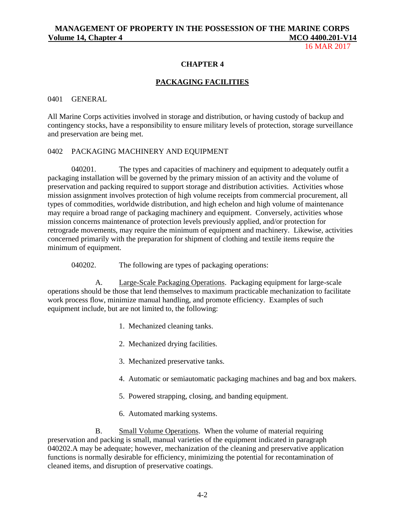16 MAR 2017

#### **CHAPTER 4**

#### **PACKAGING FACILITIES**

#### 0401 GENERAL

All Marine Corps activities involved in storage and distribution, or having custody of backup and contingency stocks, have a responsibility to ensure military levels of protection, storage surveillance and preservation are being met.

#### 0402 PACKAGING MACHINERY AND EQUIPMENT

040201. The types and capacities of machinery and equipment to adequately outfit a packaging installation will be governed by the primary mission of an activity and the volume of preservation and packing required to support storage and distribution activities. Activities whose mission assignment involves protection of high volume receipts from commercial procurement, all types of commodities, worldwide distribution, and high echelon and high volume of maintenance may require a broad range of packaging machinery and equipment. Conversely, activities whose mission concerns maintenance of protection levels previously applied, and/or protection for retrograde movements, may require the minimum of equipment and machinery. Likewise, activities concerned primarily with the preparation for shipment of clothing and textile items require the minimum of equipment.

040202. The following are types of packaging operations:

A. Large-Scale Packaging Operations. Packaging equipment for large-scale operations should be those that lend themselves to maximum practicable mechanization to facilitate work process flow, minimize manual handling, and promote efficiency. Examples of such equipment include, but are not limited to, the following:

- 1. Mechanized cleaning tanks.
- 2. Mechanized drying facilities.
- 3. Mechanized preservative tanks.
- 4. Automatic or semiautomatic packaging machines and bag and box makers.
- 5. Powered strapping, closing, and banding equipment.
- 6. Automated marking systems.

B. Small Volume Operations. When the volume of material requiring preservation and packing is small, manual varieties of the equipment indicated in paragraph 040202.A may be adequate; however, mechanization of the cleaning and preservative application functions is normally desirable for efficiency, minimizing the potential for recontamination of cleaned items, and disruption of preservative coatings.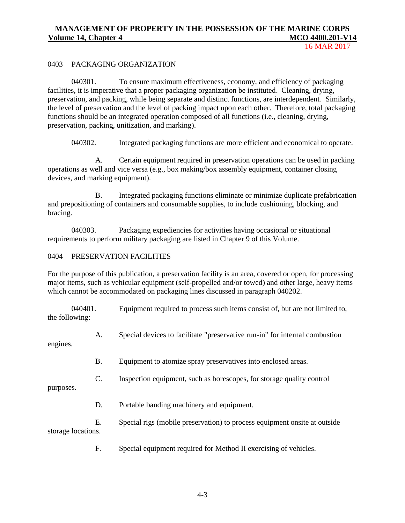16 MAR 2017

#### 0403 PACKAGING ORGANIZATION

040301. To ensure maximum effectiveness, economy, and efficiency of packaging facilities, it is imperative that a proper packaging organization be instituted. Cleaning, drying, preservation, and packing, while being separate and distinct functions, are interdependent. Similarly, the level of preservation and the level of packing impact upon each other. Therefore, total packaging functions should be an integrated operation composed of all functions (i.e., cleaning, drying, preservation, packing, unitization, and marking).

040302. Integrated packaging functions are more efficient and economical to operate.

A. Certain equipment required in preservation operations can be used in packing operations as well and vice versa (e.g., box making/box assembly equipment, container closing devices, and marking equipment).

B. Integrated packaging functions eliminate or minimize duplicate prefabrication and prepositioning of containers and consumable supplies, to include cushioning, blocking, and bracing.

040303. Packaging expediencies for activities having occasional or situational requirements to perform military packaging are listed in Chapter 9 of this Volume.

## 0404 PRESERVATION FACILITIES

For the purpose of this publication, a preservation facility is an area, covered or open, for processing major items, such as vehicular equipment (self-propelled and/or towed) and other large, heavy items which cannot be accommodated on packaging lines discussed in paragraph 040202.

040401. Equipment required to process such items consist of, but are not limited to, the following:

A. Special devices to facilitate "preservative run-in" for internal combustion

engines.

- B. Equipment to atomize spray preservatives into enclosed areas.
- C. Inspection equipment, such as borescopes, for storage quality control

purposes.

D. Portable banding machinery and equipment.

E. Special rigs (mobile preservation) to process equipment onsite at outside storage locations.

F. Special equipment required for Method II exercising of vehicles.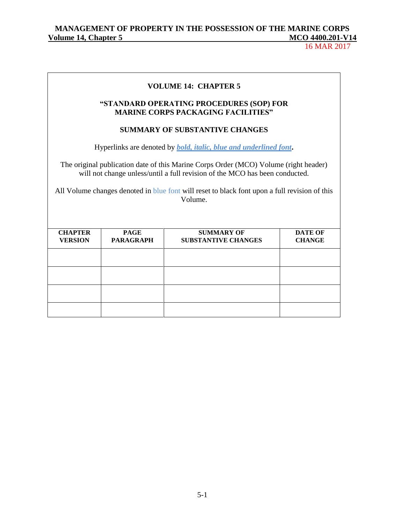16 MAR 2017

#### **VOLUME 14: CHAPTER 5**

# **"STANDARD OPERATING PROCEDURES (SOP) FOR MARINE CORPS PACKAGING FACILITIES"**

#### **SUMMARY OF SUBSTANTIVE CHANGES**

Hyperlinks are denoted by *bold, italic, blue and underlined font***.**

The original publication date of this Marine Corps Order (MCO) Volume (right header) will not change unless/until a full revision of the MCO has been conducted.

All Volume changes denoted in blue font will reset to black font upon a full revision of this Volume.

| <b>CHAPTER</b> | <b>PAGE</b>      | <b>SUMMARY OF</b>          | <b>DATE OF</b> |
|----------------|------------------|----------------------------|----------------|
| <b>VERSION</b> | <b>PARAGRAPH</b> | <b>SUBSTANTIVE CHANGES</b> | <b>CHANGE</b>  |
|                |                  |                            |                |
|                |                  |                            |                |
|                |                  |                            |                |
|                |                  |                            |                |
|                |                  |                            |                |
|                |                  |                            |                |
|                |                  |                            |                |
|                |                  |                            |                |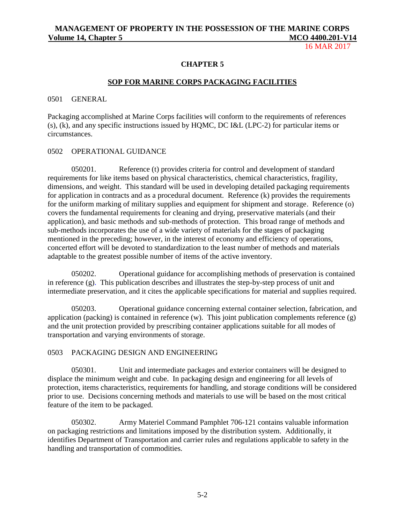16 MAR 2017

#### **CHAPTER 5**

#### **SOP FOR MARINE CORPS PACKAGING FACILITIES**

0501 GENERAL

Packaging accomplished at Marine Corps facilities will conform to the requirements of references (s), (k), and any specific instructions issued by HQMC, DC I&L (LPC-2) for particular items or circumstances.

#### 0502 OPERATIONAL GUIDANCE

050201. Reference (t) provides criteria for control and development of standard requirements for like items based on physical characteristics, chemical characteristics, fragility, dimensions, and weight. This standard will be used in developing detailed packaging requirements for application in contracts and as a procedural document. Reference (k) provides the requirements for the uniform marking of military supplies and equipment for shipment and storage. Reference (o) covers the fundamental requirements for cleaning and drying, preservative materials (and their application), and basic methods and sub-methods of protection. This broad range of methods and sub-methods incorporates the use of a wide variety of materials for the stages of packaging mentioned in the preceding; however, in the interest of economy and efficiency of operations, concerted effort will be devoted to standardization to the least number of methods and materials adaptable to the greatest possible number of items of the active inventory.

050202. Operational guidance for accomplishing methods of preservation is contained in reference (g). This publication describes and illustrates the step-by-step process of unit and intermediate preservation, and it cites the applicable specifications for material and supplies required.

050203. Operational guidance concerning external container selection, fabrication, and application (packing) is contained in reference (w). This joint publication complements reference (g) and the unit protection provided by prescribing container applications suitable for all modes of transportation and varying environments of storage.

#### 0503 PACKAGING DESIGN AND ENGINEERING

050301. Unit and intermediate packages and exterior containers will be designed to displace the minimum weight and cube. In packaging design and engineering for all levels of protection, items characteristics, requirements for handling, and storage conditions will be considered prior to use. Decisions concerning methods and materials to use will be based on the most critical feature of the item to be packaged.

050302. Army Materiel Command Pamphlet 706-121 contains valuable information on packaging restrictions and limitations imposed by the distribution system. Additionally, it identifies Department of Transportation and carrier rules and regulations applicable to safety in the handling and transportation of commodities.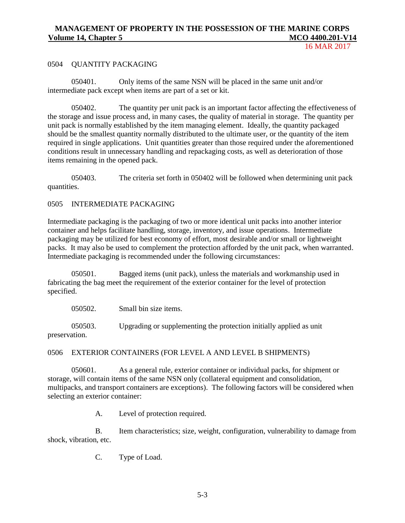#### 0504 QUANTITY PACKAGING

050401. Only items of the same NSN will be placed in the same unit and/or intermediate pack except when items are part of a set or kit.

050402. The quantity per unit pack is an important factor affecting the effectiveness of the storage and issue process and, in many cases, the quality of material in storage. The quantity per unit pack is normally established by the item managing element. Ideally, the quantity packaged should be the smallest quantity normally distributed to the ultimate user, or the quantity of the item required in single applications. Unit quantities greater than those required under the aforementioned conditions result in unnecessary handling and repackaging costs, as well as deterioration of those items remaining in the opened pack.

050403. The criteria set forth in 050402 will be followed when determining unit pack quantities.

#### 0505 INTERMEDIATE PACKAGING

Intermediate packaging is the packaging of two or more identical unit packs into another interior container and helps facilitate handling, storage, inventory, and issue operations. Intermediate packaging may be utilized for best economy of effort, most desirable and/or small or lightweight packs. It may also be used to complement the protection afforded by the unit pack, when warranted. Intermediate packaging is recommended under the following circumstances:

050501. Bagged items (unit pack), unless the materials and workmanship used in fabricating the bag meet the requirement of the exterior container for the level of protection specified.

050502. Small bin size items.

050503. Upgrading or supplementing the protection initially applied as unit preservation.

0506 EXTERIOR CONTAINERS (FOR LEVEL A AND LEVEL B SHIPMENTS)

050601. As a general rule, exterior container or individual packs, for shipment or storage, will contain items of the same NSN only (collateral equipment and consolidation, multipacks, and transport containers are exceptions). The following factors will be considered when selecting an exterior container:

A. Level of protection required.

B. Item characteristics; size, weight, configuration, vulnerability to damage from shock, vibration, etc.

C. Type of Load.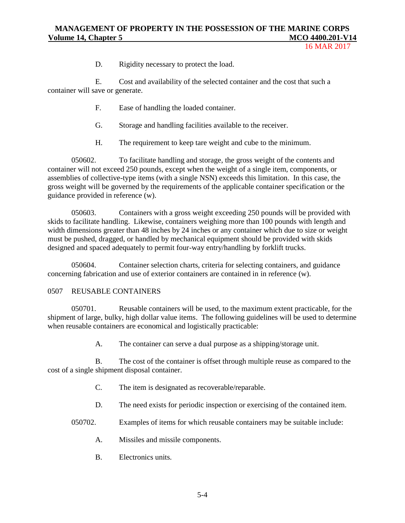16 MAR 2017

D. Rigidity necessary to protect the load.

E. Cost and availability of the selected container and the cost that such a container will save or generate.

- F. Ease of handling the loaded container.
- G. Storage and handling facilities available to the receiver.
- H. The requirement to keep tare weight and cube to the minimum.

050602. To facilitate handling and storage, the gross weight of the contents and container will not exceed 250 pounds, except when the weight of a single item, components, or assemblies of collective-type items (with a single NSN) exceeds this limitation. In this case, the gross weight will be governed by the requirements of the applicable container specification or the guidance provided in reference (w).

050603. Containers with a gross weight exceeding 250 pounds will be provided with skids to facilitate handling. Likewise, containers weighing more than 100 pounds with length and width dimensions greater than 48 inches by 24 inches or any container which due to size or weight must be pushed, dragged, or handled by mechanical equipment should be provided with skids designed and spaced adequately to permit four-way entry/handling by forklift trucks.

050604. Container selection charts, criteria for selecting containers, and guidance concerning fabrication and use of exterior containers are contained in in reference (w).

#### 0507 REUSABLE CONTAINERS

050701. Reusable containers will be used, to the maximum extent practicable, for the shipment of large, bulky, high dollar value items. The following guidelines will be used to determine when reusable containers are economical and logistically practicable:

A. The container can serve a dual purpose as a shipping/storage unit.

B. The cost of the container is offset through multiple reuse as compared to the cost of a single shipment disposal container.

- C. The item is designated as recoverable/reparable.
- D. The need exists for periodic inspection or exercising of the contained item.

050702. Examples of items for which reusable containers may be suitable include:

- A. Missiles and missile components.
- B. Electronics units.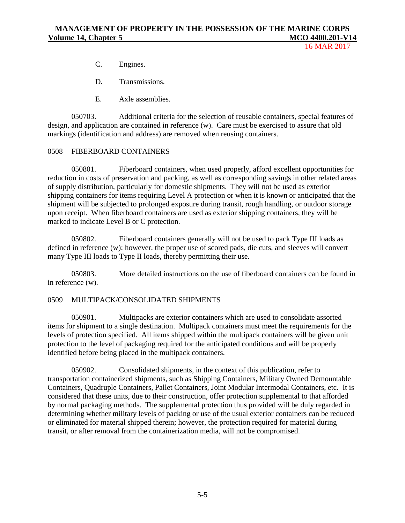- C. Engines.
- D. Transmissions.
- E. Axle assemblies.

050703. Additional criteria for the selection of reusable containers, special features of design, and application are contained in reference (w). Care must be exercised to assure that old markings (identification and address) are removed when reusing containers.

#### 0508 FIBERBOARD CONTAINERS

050801. Fiberboard containers, when used properly, afford excellent opportunities for reduction in costs of preservation and packing, as well as corresponding savings in other related areas of supply distribution, particularly for domestic shipments. They will not be used as exterior shipping containers for items requiring Level A protection or when it is known or anticipated that the shipment will be subjected to prolonged exposure during transit, rough handling, or outdoor storage upon receipt. When fiberboard containers are used as exterior shipping containers, they will be marked to indicate Level B or C protection.

050802. Fiberboard containers generally will not be used to pack Type III loads as defined in reference (w); however, the proper use of scored pads, die cuts, and sleeves will convert many Type III loads to Type II loads, thereby permitting their use.

050803. More detailed instructions on the use of fiberboard containers can be found in in reference (w).

#### 0509 MULTIPACK/CONSOLIDATED SHIPMENTS

050901. Multipacks are exterior containers which are used to consolidate assorted items for shipment to a single destination. Multipack containers must meet the requirements for the levels of protection specified. All items shipped within the multipack containers will be given unit protection to the level of packaging required for the anticipated conditions and will be properly identified before being placed in the multipack containers.

050902. Consolidated shipments, in the context of this publication, refer to transportation containerized shipments, such as Shipping Containers, Military Owned Demountable Containers, Quadruple Containers, Pallet Containers, Joint Modular Intermodal Containers, etc. It is considered that these units, due to their construction, offer protection supplemental to that afforded by normal packaging methods. The supplemental protection thus provided will be duly regarded in determining whether military levels of packing or use of the usual exterior containers can be reduced or eliminated for material shipped therein; however, the protection required for material during transit, or after removal from the containerization media, will not be compromised.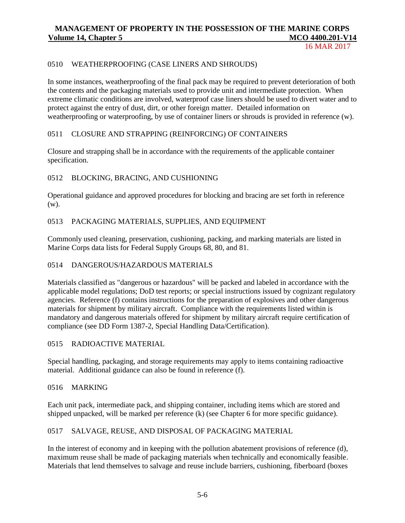16 MAR 2017

#### 0510 WEATHERPROOFING (CASE LINERS AND SHROUDS)

In some instances, weatherproofing of the final pack may be required to prevent deterioration of both the contents and the packaging materials used to provide unit and intermediate protection. When extreme climatic conditions are involved, waterproof case liners should be used to divert water and to protect against the entry of dust, dirt, or other foreign matter. Detailed information on weatherproofing or waterproofing, by use of container liners or shrouds is provided in reference (w).

#### 0511 CLOSURE AND STRAPPING (REINFORCING) OF CONTAINERS

Closure and strapping shall be in accordance with the requirements of the applicable container specification.

#### 0512 BLOCKING, BRACING, AND CUSHIONING

Operational guidance and approved procedures for blocking and bracing are set forth in reference (w).

#### 0513 PACKAGING MATERIALS, SUPPLIES, AND EQUIPMENT

Commonly used cleaning, preservation, cushioning, packing, and marking materials are listed in Marine Corps data lists for Federal Supply Groups 68, 80, and 81.

#### 0514 DANGEROUS/HAZARDOUS MATERIALS

Materials classified as "dangerous or hazardous" will be packed and labeled in accordance with the applicable model regulations; DoD test reports; or special instructions issued by cognizant regulatory agencies. Reference (f) contains instructions for the preparation of explosives and other dangerous materials for shipment by military aircraft. Compliance with the requirements listed within is mandatory and dangerous materials offered for shipment by military aircraft require certification of compliance (see DD Form 1387-2, Special Handling Data/Certification).

#### 0515 RADIOACTIVE MATERIAL

Special handling, packaging, and storage requirements may apply to items containing radioactive material. Additional guidance can also be found in reference (f).

#### 0516 MARKING

Each unit pack, intermediate pack, and shipping container, including items which are stored and shipped unpacked, will be marked per reference (k) (see Chapter 6 for more specific guidance).

#### 0517 SALVAGE, REUSE, AND DISPOSAL OF PACKAGING MATERIAL

In the interest of economy and in keeping with the pollution abatement provisions of reference (d), maximum reuse shall be made of packaging materials when technically and economically feasible. Materials that lend themselves to salvage and reuse include barriers, cushioning, fiberboard (boxes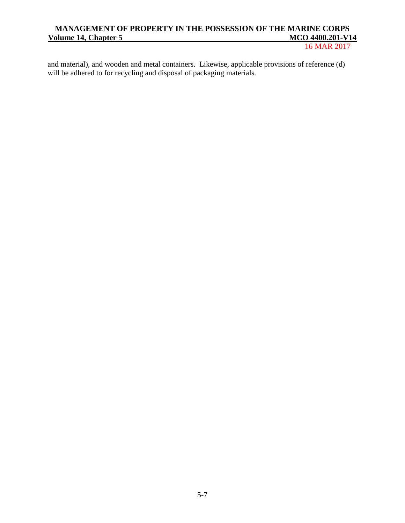## MANAGEMENT OF PROPERTY IN THE POSSESSION OF THE MARINE CORPS<br>
olume 14, Chapter 5 MCO 4400.201-V14 **<u>Volume 14, Chapter 5</u>**

16 MAR 2017

and material), and wooden and metal containers. Likewise, applicable provisions of reference (d) will be adhered to for recycling and disposal of packaging materials.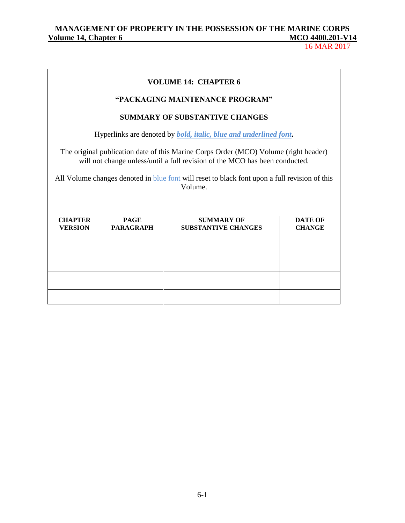16 MAR 2017

# **VOLUME 14: CHAPTER 6 "PACKAGING MAINTENANCE PROGRAM" SUMMARY OF SUBSTANTIVE CHANGES** Hyperlinks are denoted by *bold, italic, blue and underlined font***.** The original publication date of this Marine Corps Order (MCO) Volume (right header) will not change unless/until a full revision of the MCO has been conducted. All Volume changes denoted in blue font will reset to black font upon a full revision of this Volume.

| <b>CHAPTER</b> | <b>PAGE</b>      | <b>SUMMARY OF</b>          | <b>DATE OF</b> |
|----------------|------------------|----------------------------|----------------|
| <b>VERSION</b> | <b>PARAGRAPH</b> | <b>SUBSTANTIVE CHANGES</b> | <b>CHANGE</b>  |
|                |                  |                            |                |
|                |                  |                            |                |
|                |                  |                            |                |
|                |                  |                            |                |
|                |                  |                            |                |
|                |                  |                            |                |
|                |                  |                            |                |
|                |                  |                            |                |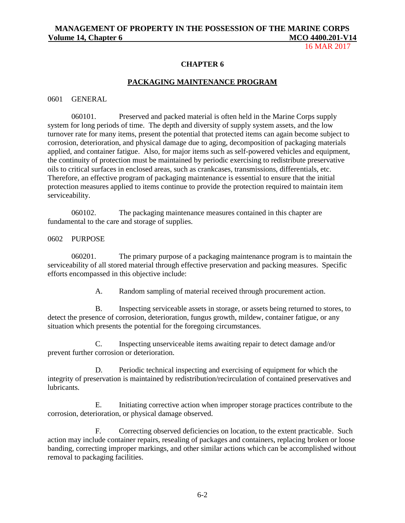16 MAR 2017

#### **CHAPTER 6**

#### **PACKAGING MAINTENANCE PROGRAM**

#### 0601 GENERAL

060101. Preserved and packed material is often held in the Marine Corps supply system for long periods of time. The depth and diversity of supply system assets, and the low turnover rate for many items, present the potential that protected items can again become subject to corrosion, deterioration, and physical damage due to aging, decomposition of packaging materials applied, and container fatigue. Also, for major items such as self-powered vehicles and equipment, the continuity of protection must be maintained by periodic exercising to redistribute preservative oils to critical surfaces in enclosed areas, such as crankcases, transmissions, differentials, etc. Therefore, an effective program of packaging maintenance is essential to ensure that the initial protection measures applied to items continue to provide the protection required to maintain item serviceability.

060102. The packaging maintenance measures contained in this chapter are fundamental to the care and storage of supplies.

#### 0602 PURPOSE

060201. The primary purpose of a packaging maintenance program is to maintain the serviceability of all stored material through effective preservation and packing measures. Specific efforts encompassed in this objective include:

A. Random sampling of material received through procurement action.

B. Inspecting serviceable assets in storage, or assets being returned to stores, to detect the presence of corrosion, deterioration, fungus growth, mildew, container fatigue, or any situation which presents the potential for the foregoing circumstances.

C. Inspecting unserviceable items awaiting repair to detect damage and/or prevent further corrosion or deterioration.

D. Periodic technical inspecting and exercising of equipment for which the integrity of preservation is maintained by redistribution/recirculation of contained preservatives and lubricants.

E. Initiating corrective action when improper storage practices contribute to the corrosion, deterioration, or physical damage observed.

F. Correcting observed deficiencies on location, to the extent practicable. Such action may include container repairs, resealing of packages and containers, replacing broken or loose banding, correcting improper markings, and other similar actions which can be accomplished without removal to packaging facilities.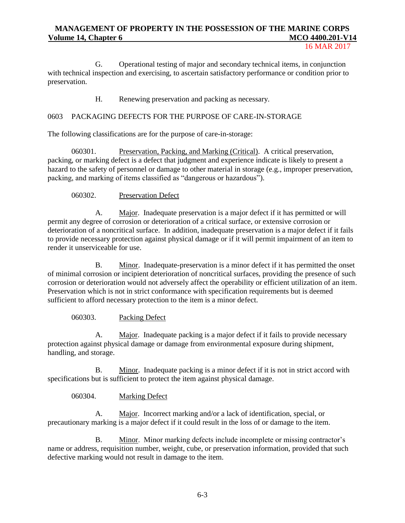#### 16 MAR 2017

G. Operational testing of major and secondary technical items, in conjunction with technical inspection and exercising, to ascertain satisfactory performance or condition prior to preservation.

H. Renewing preservation and packing as necessary.

#### 0603 PACKAGING DEFECTS FOR THE PURPOSE OF CARE-IN-STORAGE

The following classifications are for the purpose of care-in-storage:

060301. Preservation, Packing, and Marking (Critical). A critical preservation, packing, or marking defect is a defect that judgment and experience indicate is likely to present a hazard to the safety of personnel or damage to other material in storage (e.g., improper preservation, packing, and marking of items classified as "dangerous or hazardous").

060302. Preservation Defect

A. Major. Inadequate preservation is a major defect if it has permitted or will permit any degree of corrosion or deterioration of a critical surface, or extensive corrosion or deterioration of a noncritical surface. In addition, inadequate preservation is a major defect if it fails to provide necessary protection against physical damage or if it will permit impairment of an item to render it unserviceable for use.

B. Minor. Inadequate-preservation is a minor defect if it has permitted the onset of minimal corrosion or incipient deterioration of noncritical surfaces, providing the presence of such corrosion or deterioration would not adversely affect the operability or efficient utilization of an item. Preservation which is not in strict conformance with specification requirements but is deemed sufficient to afford necessary protection to the item is a minor defect.

#### 060303. Packing Defect

A. Major. Inadequate packing is a major defect if it fails to provide necessary protection against physical damage or damage from environmental exposure during shipment, handling, and storage.

B. Minor. Inadequate packing is a minor defect if it is not in strict accord with specifications but is sufficient to protect the item against physical damage.

060304. Marking Defect

A. Major. Incorrect marking and/or a lack of identification, special, or precautionary marking is a major defect if it could result in the loss of or damage to the item.

B. Minor. Minor marking defects include incomplete or missing contractor's name or address, requisition number, weight, cube, or preservation information, provided that such defective marking would not result in damage to the item.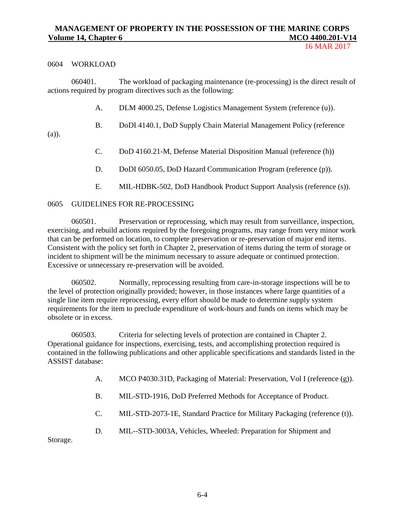#### 0604 WORKLOAD

060401. The workload of packaging maintenance (re-processing) is the direct result of actions required by program directives such as the following:

- A. DLM 4000.25, Defense Logistics Management System (reference (u)).
- B. DoDI 4140.1, DoD Supply Chain Material Management Policy (reference

(a)).

- C. DoD 4160.21-M, Defense Material Disposition Manual (reference (h))
- D. DoDI 6050.05, DoD Hazard Communication Program (reference (p)).
- E. MIL-HDBK-502, DoD Handbook Product Support Analysis (reference (s)).

#### 0605 GUIDELINES FOR RE-PROCESSING

060501. Preservation or reprocessing, which may result from surveillance, inspection, exercising, and rebuild actions required by the foregoing programs, may range from very minor work that can be performed on location, to complete preservation or re-preservation of major end items. Consistent with the policy set forth in Chapter 2, preservation of items during the term of storage or incident to shipment will be the minimum necessary to assure adequate or continued protection. Excessive or unnecessary re-preservation will be avoided.

060502. Normally, reprocessing resulting from care-in-storage inspections will be to the level of protection originally provided; however, in those instances where large quantities of a single line item require reprocessing, every effort should be made to determine supply system requirements for the item to preclude expenditure of work-hours and funds on items which may be obsolete or in excess.

060503. Criteria for selecting levels of protection are contained in Chapter 2. Operational guidance for inspections, exercising, tests, and accomplishing protection required is contained in the following publications and other applicable specifications and standards listed in the ASSIST database:

- A. [MCO P4030.31D,](http://www.marines.mil/Portals/59/Publications/MCO%20P4030.31D_1.pdf) Packaging of Material: Preservation, Vol I (reference (g)).
- B. [MIL-STD-1916, DoD Preferred Methods for Acceptance of Product.](https://acc.dau.mil/CommunityBrowser.aspx?id=523195)
- C. [MIL-STD-2073-1E, Standard Practice for Military Packaging](https://acc.dau.mil/adl/en-US/44775/file/56106/MIL-STD-2073-1E%20with%20Chg%201.pdf) (reference (t)).
- D. [MIL--STD-3003A, Vehicles, Wheeled: Preparation for Shipment and](http://everyspec.com/MIL-STD/MIL-STD-3000-9999/MIL-STD-3003A_22926/)

[Storage.](http://everyspec.com/MIL-STD/MIL-STD-3000-9999/MIL-STD-3003A_22926/)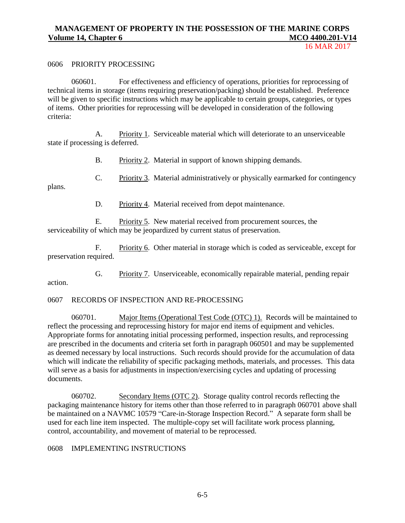16 MAR 2017

#### 0606 PRIORITY PROCESSING

060601. For effectiveness and efficiency of operations, priorities for reprocessing of technical items in storage (items requiring preservation/packing) should be established. Preference will be given to specific instructions which may be applicable to certain groups, categories, or types of items. Other priorities for reprocessing will be developed in consideration of the following criteria:

A. Priority 1. Serviceable material which will deteriorate to an unserviceable state if processing is deferred.

B. Priority 2. Material in support of known shipping demands.

C. Priority 3. Material administratively or physically earmarked for contingency

plans.

action.

D. Priority 4. Material received from depot maintenance.

E. Priority 5. New material received from procurement sources, the serviceability of which may be jeopardized by current status of preservation.

F. Priority 6. Other material in storage which is coded as serviceable, except for preservation required.

G. Priority 7. Unserviceable, economically repairable material, pending repair

0607 RECORDS OF INSPECTION AND RE-PROCESSING

060701. Major Items (Operational Test Code (OTC) 1). Records will be maintained to reflect the processing and reprocessing history for major end items of equipment and vehicles. Appropriate forms for annotating initial processing performed, inspection results, and reprocessing are prescribed in the documents and criteria set forth in paragraph 060501 and may be supplemented as deemed necessary by local instructions. Such records should provide for the accumulation of data which will indicate the reliability of specific packaging methods, materials, and processes. This data will serve as a basis for adjustments in inspection/exercising cycles and updating of processing documents.

060702. Secondary Items (OTC 2). Storage quality control records reflecting the packaging maintenance history for items other than those referred to in paragraph 060701 above shall be maintained on a NAVMC 10579 "Care-in-Storage Inspection Record." A separate form shall be used for each line item inspected. The multiple-copy set will facilitate work process planning, control, accountability, and movement of material to be reprocessed.

0608 IMPLEMENTING INSTRUCTIONS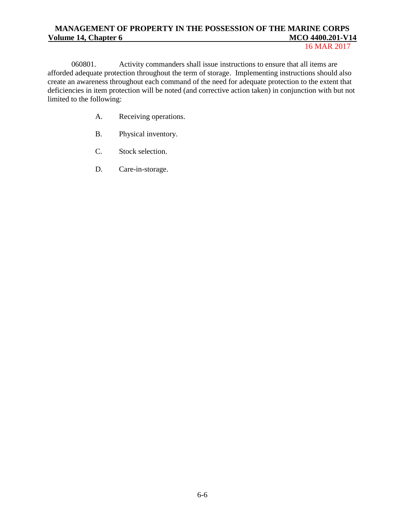#### 16 MAR 2017

060801. Activity commanders shall issue instructions to ensure that all items are afforded adequate protection throughout the term of storage. Implementing instructions should also create an awareness throughout each command of the need for adequate protection to the extent that deficiencies in item protection will be noted (and corrective action taken) in conjunction with but not limited to the following:

- A. Receiving operations.
- B. Physical inventory.
- C. Stock selection.
- D. Care-in-storage.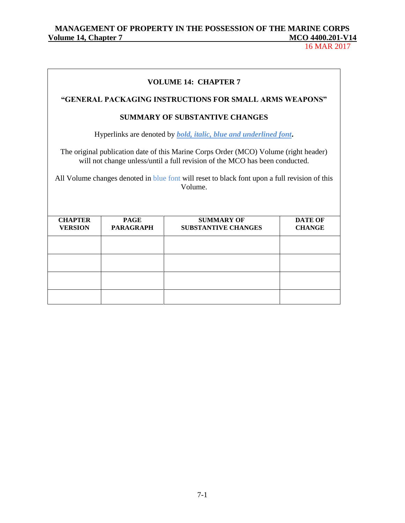## MANAGEMENT OF PROPERTY IN THE POSSESSION OF THE MARINE CORPS<br>
<u>Olume 14, Chapter 7</u> **Volume 14, Chapter 7 MCO 4400.201-V14**

16 MAR 2017

| <b>VOLUME 14: CHAPTER 7</b>                                                                                                                                                                                                                                                     |                                       |                                                         |                                 |  |
|---------------------------------------------------------------------------------------------------------------------------------------------------------------------------------------------------------------------------------------------------------------------------------|---------------------------------------|---------------------------------------------------------|---------------------------------|--|
|                                                                                                                                                                                                                                                                                 |                                       | "GENERAL PACKAGING INSTRUCTIONS FOR SMALL ARMS WEAPONS" |                                 |  |
|                                                                                                                                                                                                                                                                                 | <b>SUMMARY OF SUBSTANTIVE CHANGES</b> |                                                         |                                 |  |
| Hyperlinks are denoted by <i>bold, italic, blue and underlined font</i> .                                                                                                                                                                                                       |                                       |                                                         |                                 |  |
| The original publication date of this Marine Corps Order (MCO) Volume (right header)<br>will not change unless/until a full revision of the MCO has been conducted.<br>All Volume changes denoted in blue font will reset to black font upon a full revision of this<br>Volume. |                                       |                                                         |                                 |  |
| <b>CHAPTER</b><br><b>VERSION</b>                                                                                                                                                                                                                                                | <b>PAGE</b><br><b>PARAGRAPH</b>       | <b>SUMMARY OF</b><br><b>SUBSTANTIVE CHANGES</b>         | <b>DATE OF</b><br><b>CHANGE</b> |  |
|                                                                                                                                                                                                                                                                                 |                                       |                                                         |                                 |  |
|                                                                                                                                                                                                                                                                                 |                                       |                                                         |                                 |  |
|                                                                                                                                                                                                                                                                                 |                                       |                                                         |                                 |  |
|                                                                                                                                                                                                                                                                                 |                                       |                                                         |                                 |  |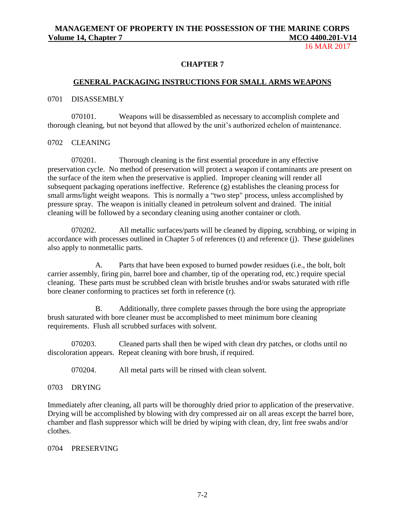16 MAR 2017

#### **CHAPTER 7**

## **GENERAL PACKAGING INSTRUCTIONS FOR SMALL ARMS WEAPONS**

#### 0701 DISASSEMBLY

070101. Weapons will be disassembled as necessary to accomplish complete and thorough cleaning, but not beyond that allowed by the unit's authorized echelon of maintenance.

#### 0702 CLEANING

070201. Thorough cleaning is the first essential procedure in any effective preservation cycle. No method of preservation will protect a weapon if contaminants are present on the surface of the item when the preservative is applied. Improper cleaning will render all subsequent packaging operations ineffective. Reference (g) establishes the cleaning process for small arms/light weight weapons. This is normally a "two step" process, unless accomplished by pressure spray. The weapon is initially cleaned in petroleum solvent and drained. The initial cleaning will be followed by a secondary cleaning using another container or cloth.

070202. All metallic surfaces/parts will be cleaned by dipping, scrubbing, or wiping in accordance with processes outlined in Chapter 5 of references (t) and reference (j). These guidelines also apply to nonmetallic parts.

A. Parts that have been exposed to burned powder residues (i.e., the bolt, bolt carrier assembly, firing pin, barrel bore and chamber, tip of the operating rod, etc.) require special cleaning. These parts must be scrubbed clean with bristle brushes and/or swabs saturated with rifle bore cleaner conforming to practices set forth in reference (r).

B. Additionally, three complete passes through the bore using the appropriate brush saturated with bore cleaner must be accomplished to meet minimum bore cleaning requirements. Flush all scrubbed surfaces with solvent.

070203. Cleaned parts shall then be wiped with clean dry patches, or cloths until no discoloration appears. Repeat cleaning with bore brush, if required.

070204. All metal parts will be rinsed with clean solvent.

#### 0703 DRYING

Immediately after cleaning, all parts will be thoroughly dried prior to application of the preservative. Drying will be accomplished by blowing with dry compressed air on all areas except the barrel bore, chamber and flash suppressor which will be dried by wiping with clean, dry, lint free swabs and/or clothes.

#### 0704 PRESERVING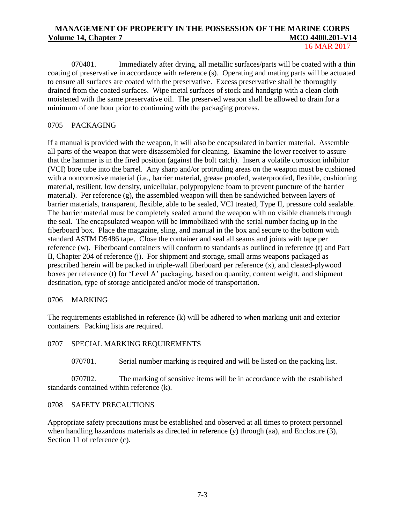070401. Immediately after drying, all metallic surfaces/parts will be coated with a thin coating of preservative in accordance with reference (s). Operating and mating parts will be actuated to ensure all surfaces are coated with the preservative. Excess preservative shall be thoroughly drained from the coated surfaces. Wipe metal surfaces of stock and handgrip with a clean cloth moistened with the same preservative oil. The preserved weapon shall be allowed to drain for a minimum of one hour prior to continuing with the packaging process.

#### 0705 PACKAGING

If a manual is provided with the weapon, it will also be encapsulated in barrier material. Assemble all parts of the weapon that were disassembled for cleaning. Examine the lower receiver to assure that the hammer is in the fired position (against the bolt catch). Insert a volatile corrosion inhibitor (VCI) bore tube into the barrel. Any sharp and/or protruding areas on the weapon must be cushioned with a noncorrosive material (i.e., barrier material, grease proofed, waterproofed, flexible, cushioning material, resilient, low density, unicellular, polypropylene foam to prevent puncture of the barrier material). Per reference (g), the assembled weapon will then be sandwiched between layers of barrier materials, transparent, flexible, able to be sealed, VCI treated, Type II, pressure cold sealable. The barrier material must be completely sealed around the weapon with no visible channels through the seal. The encapsulated weapon will be immobilized with the serial number facing up in the fiberboard box. Place the magazine, sling, and manual in the box and secure to the bottom with standard ASTM D5486 tape. Close the container and seal all seams and joints with tape per reference (w). Fiberboard containers will conform to standards as outlined in reference (t) and Part II, Chapter 204 of reference (j). For shipment and storage, small arms weapons packaged as prescribed herein will be packed in triple-wall fiberboard per reference (x), and cleated-plywood boxes per reference (t) for 'Level A' packaging, based on quantity, content weight, and shipment destination, type of storage anticipated and/or mode of transportation.

#### 0706 MARKING

The requirements established in reference (k) will be adhered to when marking unit and exterior containers. Packing lists are required.

#### 0707 SPECIAL MARKING REQUIREMENTS

070701. Serial number marking is required and will be listed on the packing list.

070702. The marking of sensitive items will be in accordance with the established standards contained within reference (k).

#### 0708 SAFETY PRECAUTIONS

Appropriate safety precautions must be established and observed at all times to protect personnel when handling hazardous materials as directed in reference (y) through (aa), and Enclosure (3), Section 11 of reference (c).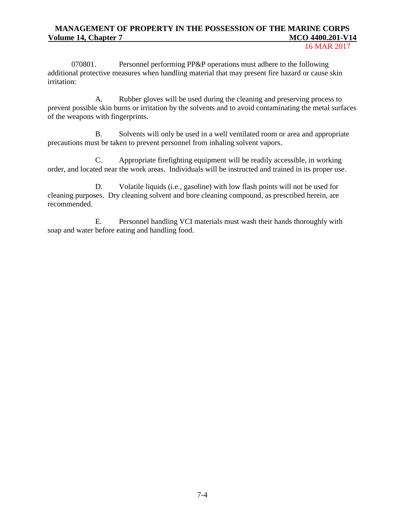16 MAR 2017

070801. Personnel performing PP&P operations must adhere to the following additional protective measures when handling material that may present fire hazard or cause skin irritation:

A. Rubber gloves will be used during the cleaning and preserving process to prevent possible skin burns or irritation by the solvents and to avoid contaminating the metal surfaces of the weapons with fingerprints.

B. Solvents will only be used in a well ventilated room or area and appropriate precautions must be taken to prevent personnel from inhaling solvent vapors.

C. Appropriate firefighting equipment will be readily accessible, in working order, and located near the work areas. Individuals will be instructed and trained in its proper use.

D. Volatile liquids (i.e., gasoline) with low flash points will not be used for cleaning purposes. Dry cleaning solvent and bore cleaning compound, as prescribed herein, are recommended.

E. Personnel handling VCI materials must wash their hands thoroughly with soap and water before eating and handling food.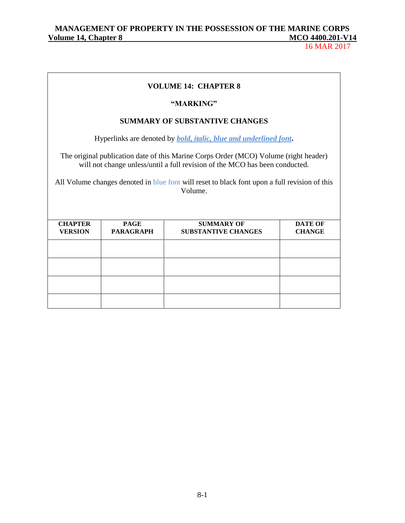16 MAR 2017

## **VOLUME 14: CHAPTER 8**

#### **"MARKING"**

#### **SUMMARY OF SUBSTANTIVE CHANGES**

Hyperlinks are denoted by *bold, italic, blue and underlined font***.**

The original publication date of this Marine Corps Order (MCO) Volume (right header) will not change unless/until a full revision of the MCO has been conducted.

All Volume changes denoted in blue font will reset to black font upon a full revision of this Volume.

| <b>CHAPTER</b><br><b>VERSION</b> | <b>PAGE</b><br><b>PARAGRAPH</b> | <b>SUMMARY OF</b><br><b>SUBSTANTIVE CHANGES</b> | <b>DATE OF</b><br><b>CHANGE</b> |
|----------------------------------|---------------------------------|-------------------------------------------------|---------------------------------|
|                                  |                                 |                                                 |                                 |
|                                  |                                 |                                                 |                                 |
|                                  |                                 |                                                 |                                 |
|                                  |                                 |                                                 |                                 |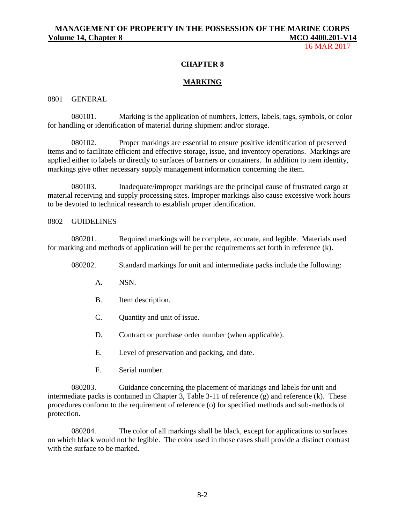16 MAR 2017

#### **CHAPTER 8**

#### **MARKING**

0801 GENERAL

080101. Marking is the application of numbers, letters, labels, tags, symbols, or color for handling or identification of material during shipment and/or storage.

080102. Proper markings are essential to ensure positive identification of preserved items and to facilitate efficient and effective storage, issue, and inventory operations. Markings are applied either to labels or directly to surfaces of barriers or containers. In addition to item identity, markings give other necessary supply management information concerning the item.

080103. Inadequate/improper markings are the principal cause of frustrated cargo at material receiving and supply processing sites. Improper markings also cause excessive work hours to be devoted to technical research to establish proper identification.

#### 0802 GUIDELINES

080201. Required markings will be complete, accurate, and legible. Materials used for marking and methods of application will be per the requirements set forth in reference (k).

080202. Standard markings for unit and intermediate packs include the following:

- A. NSN.
- B. Item description.
- C. Quantity and unit of issue.
- D. Contract or purchase order number (when applicable).
- E. Level of preservation and packing, and date.
- F. Serial number.

080203. Guidance concerning the placement of markings and labels for unit and intermediate packs is contained in Chapter 3, Table 3-11 of reference (g) and reference (k). These procedures conform to the requirement of reference (o) for specified methods and sub-methods of protection.

080204. The color of all markings shall be black, except for applications to surfaces on which black would not be legible. The color used in those cases shall provide a distinct contrast with the surface to be marked.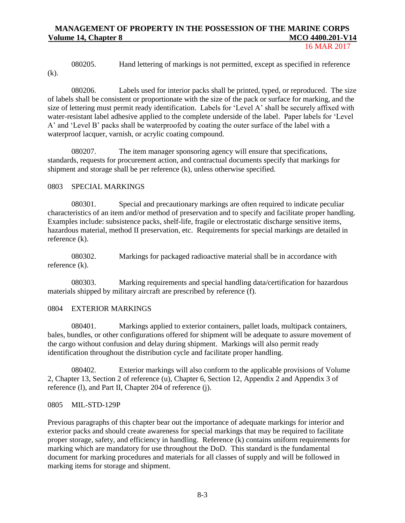16 MAR 2017

080205. Hand lettering of markings is not permitted, except as specified in reference (k).

080206. Labels used for interior packs shall be printed, typed, or reproduced. The size of labels shall be consistent or proportionate with the size of the pack or surface for marking, and the size of lettering must permit ready identification. Labels for 'Level A' shall be securely affixed with water-resistant label adhesive applied to the complete underside of the label. Paper labels for 'Level A' and 'Level B' packs shall be waterproofed by coating the outer surface of the label with a waterproof lacquer, varnish, or acrylic coating compound.

080207. The item manager sponsoring agency will ensure that specifications, standards, requests for procurement action, and contractual documents specify that markings for shipment and storage shall be per reference (k), unless otherwise specified.

#### 0803 SPECIAL MARKINGS

080301. Special and precautionary markings are often required to indicate peculiar characteristics of an item and/or method of preservation and to specify and facilitate proper handling. Examples include: subsistence packs, shelf-life, fragile or electrostatic discharge sensitive items, hazardous material, method II preservation, etc. Requirements for special markings are detailed in reference (k).

080302. Markings for packaged radioactive material shall be in accordance with reference (k).

080303. Marking requirements and special handling data/certification for hazardous materials shipped by military aircraft are prescribed by reference (f).

#### 0804 EXTERIOR MARKINGS

080401. Markings applied to exterior containers, pallet loads, multipack containers, bales, bundles, or other configurations offered for shipment will be adequate to assure movement of the cargo without confusion and delay during shipment. Markings will also permit ready identification throughout the distribution cycle and facilitate proper handling.

080402. Exterior markings will also conform to the applicable provisions of Volume 2, Chapter 13, Section 2 of reference (u), Chapter 6, Section 12, Appendix 2 and Appendix 3 of reference (l), and Part II, Chapter 204 of reference (j).

#### 0805 MIL-STD-129P

Previous paragraphs of this chapter bear out the importance of adequate markings for interior and exterior packs and should create awareness for special markings that may be required to facilitate proper storage, safety, and efficiency in handling. Reference (k) contains uniform requirements for marking which are mandatory for use throughout the DoD. This standard is the fundamental document for marking procedures and materials for all classes of supply and will be followed in marking items for storage and shipment.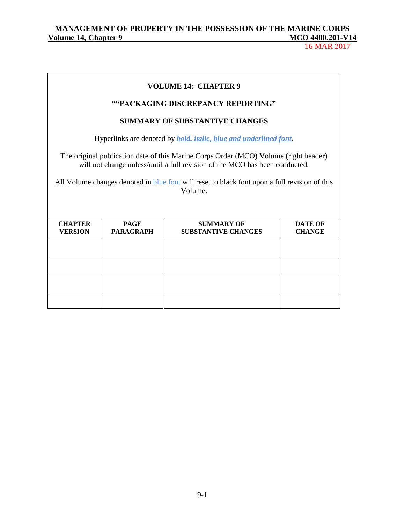## MANAGEMENT OF PROPERTY IN THE POSSESSION OF THE MARINE CORPS<br>
<u>Olume 14, Chapter 9</u> **Volume 14, Chapter 9 May 1200.000 MCCO 4400.000 MCCO 4400.000 MCCO 4400.000 MCCO 4400.000 MCCO 4400.000 MCCO 4400.000 MCCO 4400.000 MCCO 4400.000 MCCO 4400.000 MCCO 4400.000 MCCO 4400.000 MCCO 4400.000 MCCO 4400.000 MCCO**

16 MAR 2017

| <b>VOLUME 14: CHAPTER 9</b>                                                                                                                                                                                                                                                     |                                       |                                                 |                                 |  |
|---------------------------------------------------------------------------------------------------------------------------------------------------------------------------------------------------------------------------------------------------------------------------------|---------------------------------------|-------------------------------------------------|---------------------------------|--|
| ""PACKAGING DISCREPANCY REPORTING"                                                                                                                                                                                                                                              |                                       |                                                 |                                 |  |
|                                                                                                                                                                                                                                                                                 | <b>SUMMARY OF SUBSTANTIVE CHANGES</b> |                                                 |                                 |  |
| Hyperlinks are denoted by <i>bold, italic, blue and underlined font</i> .                                                                                                                                                                                                       |                                       |                                                 |                                 |  |
| The original publication date of this Marine Corps Order (MCO) Volume (right header)<br>will not change unless/until a full revision of the MCO has been conducted.<br>All Volume changes denoted in blue font will reset to black font upon a full revision of this<br>Volume. |                                       |                                                 |                                 |  |
| <b>CHAPTER</b><br><b>VERSION</b>                                                                                                                                                                                                                                                | <b>PAGE</b><br><b>PARAGRAPH</b>       | <b>SUMMARY OF</b><br><b>SUBSTANTIVE CHANGES</b> | <b>DATE OF</b><br><b>CHANGE</b> |  |
|                                                                                                                                                                                                                                                                                 |                                       |                                                 |                                 |  |
|                                                                                                                                                                                                                                                                                 |                                       |                                                 |                                 |  |
|                                                                                                                                                                                                                                                                                 |                                       |                                                 |                                 |  |
|                                                                                                                                                                                                                                                                                 |                                       |                                                 |                                 |  |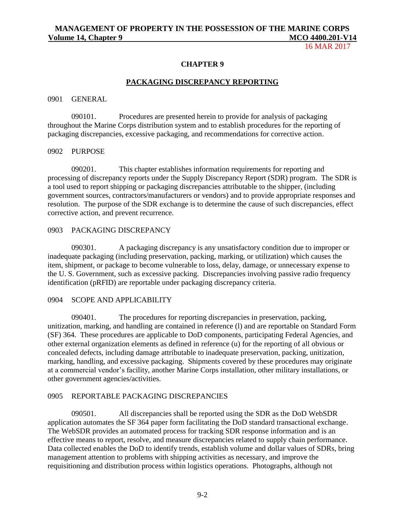16 MAR 2017

#### **CHAPTER 9**

#### **PACKAGING DISCREPANCY REPORTING**

#### 0901 GENERAL

090101. Procedures are presented herein to provide for analysis of packaging throughout the Marine Corps distribution system and to establish procedures for the reporting of packaging discrepancies, excessive packaging, and recommendations for corrective action.

#### 0902 PURPOSE

090201. This chapter establishes information requirements for reporting and processing of discrepancy reports under the Supply Discrepancy Report (SDR) program. The SDR is a tool used to report shipping or packaging discrepancies attributable to the shipper, (including government sources, contractors/manufacturers or vendors) and to provide appropriate responses and resolution. The purpose of the SDR exchange is to determine the cause of such discrepancies, effect corrective action, and prevent recurrence.

#### 0903 PACKAGING DISCREPANCY

090301. A packaging discrepancy is any unsatisfactory condition due to improper or inadequate packaging (including preservation, packing, marking, or utilization) which causes the item, shipment, or package to become vulnerable to loss, delay, damage, or unnecessary expense to the U. S. Government, such as excessive packing. Discrepancies involving passive radio frequency identification (pRFID) are reportable under packaging discrepancy criteria.

#### 0904 SCOPE AND APPLICABILITY

090401. The procedures for reporting discrepancies in preservation, packing, unitization, marking, and handling are contained in reference (l) and are reportable on Standard Form (SF) 364. These procedures are applicable to DoD components, participating Federal Agencies, and other external organization elements as defined in reference (u) for the reporting of all obvious or concealed defects, including damage attributable to inadequate preservation, packing, unitization, marking, handling, and excessive packaging. Shipments covered by these procedures may originate at a commercial vendor's facility, another Marine Corps installation, other military installations, or other government agencies/activities.

#### 0905 REPORTABLE PACKAGING DISCREPANCIES

090501. All discrepancies shall be reported using the SDR as the DoD WebSDR application automates the SF 364 paper form facilitating the DoD standard transactional exchange. The WebSDR provides an automated process for tracking SDR response information and is an effective means to report, resolve, and measure discrepancies related to supply chain performance. Data collected enables the DoD to identify trends, establish volume and dollar values of SDRs, bring management attention to problems with shipping activities as necessary, and improve the requisitioning and distribution process within logistics operations. Photographs, although not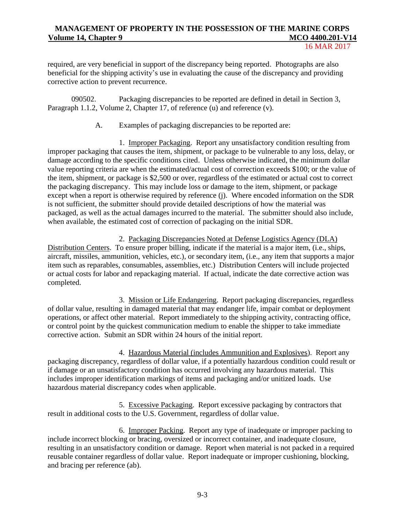16 MAR 2017

required, are very beneficial in support of the discrepancy being reported. Photographs are also beneficial for the shipping activity's use in evaluating the cause of the discrepancy and providing corrective action to prevent recurrence.

090502. Packaging discrepancies to be reported are defined in detail in Section 3, Paragraph 1.1.2, Volume 2, Chapter 17, of reference (u) and reference (v).

A. Examples of packaging discrepancies to be reported are:

1. Improper Packaging. Report any unsatisfactory condition resulting from improper packaging that causes the item, shipment, or package to be vulnerable to any loss, delay, or damage according to the specific conditions cited. Unless otherwise indicated, the minimum dollar value reporting criteria are when the estimated/actual cost of correction exceeds \$100; or the value of the item, shipment, or package is \$2,500 or over, regardless of the estimated or actual cost to correct the packaging discrepancy. This may include loss or damage to the item, shipment, or package except when a report is otherwise required by reference (j). Where encoded information on the SDR is not sufficient, the submitter should provide detailed descriptions of how the material was packaged, as well as the actual damages incurred to the material. The submitter should also include, when available, the estimated cost of correction of packaging on the initial SDR.

2. Packaging Discrepancies Noted at Defense Logistics Agency (DLA) Distribution Centers. To ensure proper billing, indicate if the material is a major item, (i.e., ships, aircraft, missiles, ammunition, vehicles, etc.), or secondary item, (i.e., any item that supports a major item such as reparables, consumables, assemblies, etc.) Distribution Centers will include projected or actual costs for labor and repackaging material. If actual, indicate the date corrective action was completed.

3. Mission or Life Endangering. Report packaging discrepancies, regardless of dollar value, resulting in damaged material that may endanger life, impair combat or deployment operations, or affect other material. Report immediately to the shipping activity, contracting office, or control point by the quickest communication medium to enable the shipper to take immediate corrective action. Submit an SDR within 24 hours of the initial report.

4. Hazardous Material (includes Ammunition and Explosives). Report any packaging discrepancy, regardless of dollar value, if a potentially hazardous condition could result or if damage or an unsatisfactory condition has occurred involving any hazardous material. This includes improper identification markings of items and packaging and/or unitized loads. Use hazardous material discrepancy codes when applicable.

5. Excessive Packaging. Report excessive packaging by contractors that result in additional costs to the U.S. Government, regardless of dollar value.

6. Improper Packing. Report any type of inadequate or improper packing to include incorrect blocking or bracing, oversized or incorrect container, and inadequate closure, resulting in an unsatisfactory condition or damage. Report when material is not packed in a required reusable container regardless of dollar value. Report inadequate or improper cushioning, blocking, and bracing per reference (ab).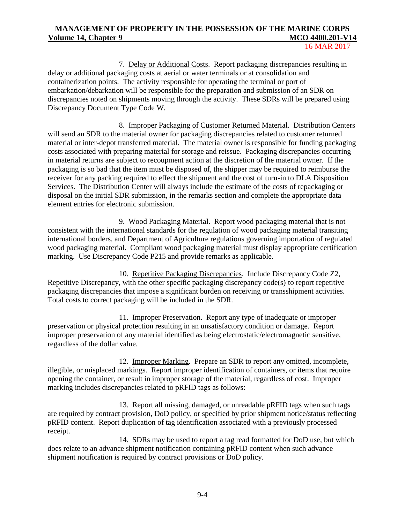16 MAR 2017

7. Delay or Additional Costs. Report packaging discrepancies resulting in delay or additional packaging costs at aerial or water terminals or at consolidation and containerization points. The activity responsible for operating the terminal or port of embarkation/debarkation will be responsible for the preparation and submission of an SDR on discrepancies noted on shipments moving through the activity. These SDRs will be prepared using Discrepancy Document Type Code W.

8. Improper Packaging of Customer Returned Material. Distribution Centers will send an SDR to the material owner for packaging discrepancies related to customer returned material or inter-depot transferred material. The material owner is responsible for funding packaging costs associated with preparing material for storage and reissue. Packaging discrepancies occurring in material returns are subject to recoupment action at the discretion of the material owner. If the packaging is so bad that the item must be disposed of, the shipper may be required to reimburse the receiver for any packing required to effect the shipment and the cost of turn-in to DLA Disposition Services. The Distribution Center will always include the estimate of the costs of repackaging or disposal on the initial SDR submission, in the remarks section and complete the appropriate data element entries for electronic submission.

9. Wood Packaging Material. Report wood packaging material that is not consistent with the international standards for the regulation of wood packaging material transiting international borders, and Department of Agriculture regulations governing importation of regulated wood packaging material. Compliant wood packaging material must display appropriate certification marking. Use Discrepancy Code P215 and provide remarks as applicable.

10. Repetitive Packaging Discrepancies. Include Discrepancy Code Z2, Repetitive Discrepancy, with the other specific packaging discrepancy code(s) to report repetitive packaging discrepancies that impose a significant burden on receiving or transshipment activities. Total costs to correct packaging will be included in the SDR.

11. Improper Preservation. Report any type of inadequate or improper preservation or physical protection resulting in an unsatisfactory condition or damage. Report improper preservation of any material identified as being electrostatic/electromagnetic sensitive, regardless of the dollar value.

12. Improper Marking. Prepare an SDR to report any omitted, incomplete, illegible, or misplaced markings. Report improper identification of containers, or items that require opening the container, or result in improper storage of the material, regardless of cost. Improper marking includes discrepancies related to pRFID tags as follows:

13. Report all missing, damaged, or unreadable pRFID tags when such tags are required by contract provision, DoD policy, or specified by prior shipment notice/status reflecting pRFID content. Report duplication of tag identification associated with a previously processed receipt.

14. SDRs may be used to report a tag read formatted for DoD use, but which does relate to an advance shipment notification containing pRFID content when such advance shipment notification is required by contract provisions or DoD policy.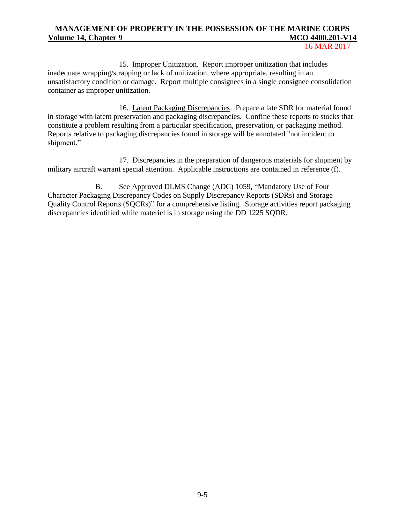16 MAR 2017

15. Improper Unitization. Report improper unitization that includes inadequate wrapping/strapping or lack of unitization, where appropriate, resulting in an unsatisfactory condition or damage. Report multiple consignees in a single consignee consolidation container as improper unitization.

16. Latent Packaging Discrepancies. Prepare a late SDR for material found in storage with latent preservation and packaging discrepancies. Confine these reports to stocks that constitute a problem resulting from a particular specification, preservation, or packaging method. Reports relative to packaging discrepancies found in storage will be annotated "not incident to shipment."

17. Discrepancies in the preparation of dangerous materials for shipment by military aircraft warrant special attention. Applicable instructions are contained in reference (f).

B. See Approved DLMS Change (ADC) 1059, "Mandatory Use of Four Character Packaging Discrepancy Codes on Supply Discrepancy Reports (SDRs) and Storage Quality Control Reports (SQCRs)" for a comprehensive listing. Storage activities report packaging discrepancies identified while materiel is in storage using the DD 1225 SQDR.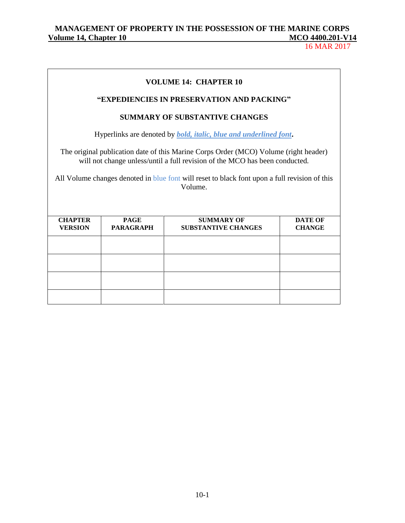16 MAR 2017

## **VOLUME 14: CHAPTER 10 "EXPEDIENCIES IN PRESERVATION AND PACKING" SUMMARY OF SUBSTANTIVE CHANGES** Hyperlinks are denoted by *bold, italic, blue and underlined font***.** The original publication date of this Marine Corps Order (MCO) Volume (right header) will not change unless/until a full revision of the MCO has been conducted. All Volume changes denoted in blue font will reset to black font upon a full revision of this Volume.

| <b>CHAPTER</b><br><b>VERSION</b> | <b>PAGE</b><br><b>PARAGRAPH</b> | <b>SUMMARY OF</b><br><b>SUBSTANTIVE CHANGES</b> | <b>DATE OF</b><br><b>CHANGE</b> |
|----------------------------------|---------------------------------|-------------------------------------------------|---------------------------------|
|                                  |                                 |                                                 |                                 |
|                                  |                                 |                                                 |                                 |
|                                  |                                 |                                                 |                                 |
|                                  |                                 |                                                 |                                 |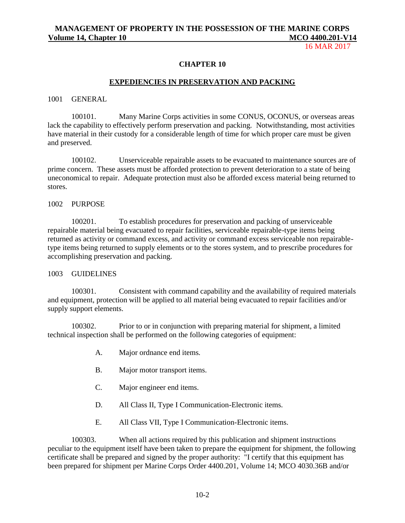16 MAR 2017

#### **CHAPTER 10**

#### **EXPEDIENCIES IN PRESERVATION AND PACKING**

#### 1001 GENERAL

100101. Many Marine Corps activities in some CONUS, OCONUS, or overseas areas lack the capability to effectively perform preservation and packing. Notwithstanding, most activities have material in their custody for a considerable length of time for which proper care must be given and preserved.

100102. Unserviceable repairable assets to be evacuated to maintenance sources are of prime concern. These assets must be afforded protection to prevent deterioration to a state of being uneconomical to repair. Adequate protection must also be afforded excess material being returned to stores.

#### 1002 PURPOSE

100201. To establish procedures for preservation and packing of unserviceable repairable material being evacuated to repair facilities, serviceable repairable-type items being returned as activity or command excess, and activity or command excess serviceable non repairabletype items being returned to supply elements or to the stores system, and to prescribe procedures for accomplishing preservation and packing.

#### 1003 GUIDELINES

100301. Consistent with command capability and the availability of required materials and equipment, protection will be applied to all material being evacuated to repair facilities and/or supply support elements.

100302. Prior to or in conjunction with preparing material for shipment, a limited technical inspection shall be performed on the following categories of equipment:

- A. Major ordnance end items.
- B. Major motor transport items.
- C. Major engineer end items.
- D. All Class II, Type I Communication-Electronic items.
- E. All Class VII, Type I Communication-Electronic items.

100303. When all actions required by this publication and shipment instructions peculiar to the equipment itself have been taken to prepare the equipment for shipment, the following certificate shall be prepared and signed by the proper authority: "I certify that this equipment has been prepared for shipment per Marine Corps Order 4400.201, Volume 14; MCO 4030.36B and/or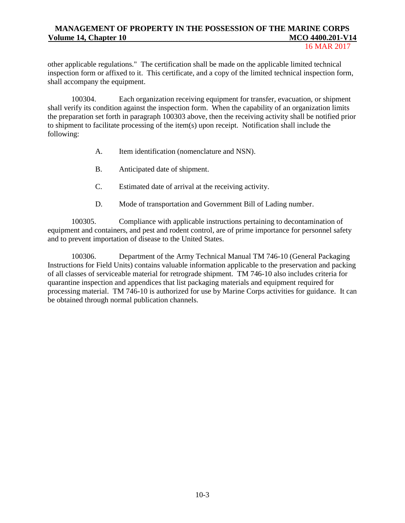#### 16 MAR 2017

other applicable regulations." The certification shall be made on the applicable limited technical inspection form or affixed to it. This certificate, and a copy of the limited technical inspection form, shall accompany the equipment.

100304. Each organization receiving equipment for transfer, evacuation, or shipment shall verify its condition against the inspection form. When the capability of an organization limits the preparation set forth in paragraph 100303 above, then the receiving activity shall be notified prior to shipment to facilitate processing of the item(s) upon receipt. Notification shall include the following:

- A. Item identification (nomenclature and NSN).
- B. Anticipated date of shipment.
- C. Estimated date of arrival at the receiving activity.
- D. Mode of transportation and Government Bill of Lading number.

100305. Compliance with applicable instructions pertaining to decontamination of equipment and containers, and pest and rodent control, are of prime importance for personnel safety and to prevent importation of disease to the United States.

100306. Department of the Army Technical Manual TM 746-10 (General Packaging Instructions for Field Units) contains valuable information applicable to the preservation and packing of all classes of serviceable material for retrograde shipment. TM 746-10 also includes criteria for quarantine inspection and appendices that list packaging materials and equipment required for processing material. TM 746-10 is authorized for use by Marine Corps activities for guidance. It can be obtained through normal publication channels.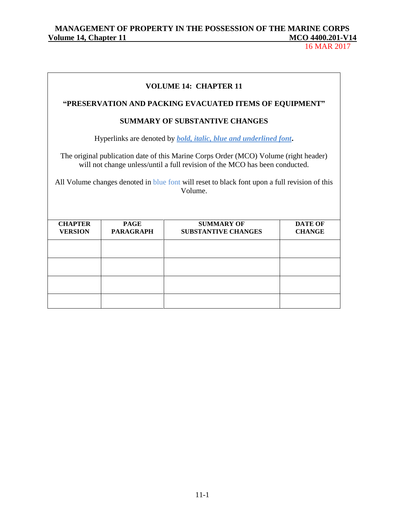## MANAGEMENT OF PROPERTY IN THE POSSESSION OF THE MARINE CORPS<br>
<u>Olume 14, Chapter 11</u> **Volume 14, Chapter 11 MCO 4400.201-V14**

16 MAR 2017

| <b>VOLUME 14: CHAPTER 11</b>                                                                                                                                                                                                                                                    |                                                         |                                                 |                                 |  |
|---------------------------------------------------------------------------------------------------------------------------------------------------------------------------------------------------------------------------------------------------------------------------------|---------------------------------------------------------|-------------------------------------------------|---------------------------------|--|
|                                                                                                                                                                                                                                                                                 | "PRESERVATION AND PACKING EVACUATED ITEMS OF EQUIPMENT" |                                                 |                                 |  |
| <b>SUMMARY OF SUBSTANTIVE CHANGES</b>                                                                                                                                                                                                                                           |                                                         |                                                 |                                 |  |
| Hyperlinks are denoted by <i>bold, italic, blue and underlined font</i> .                                                                                                                                                                                                       |                                                         |                                                 |                                 |  |
| The original publication date of this Marine Corps Order (MCO) Volume (right header)<br>will not change unless/until a full revision of the MCO has been conducted.<br>All Volume changes denoted in blue font will reset to black font upon a full revision of this<br>Volume. |                                                         |                                                 |                                 |  |
| <b>CHAPTER</b><br><b>VERSION</b>                                                                                                                                                                                                                                                | <b>PAGE</b><br><b>PARAGRAPH</b>                         | <b>SUMMARY OF</b><br><b>SUBSTANTIVE CHANGES</b> | <b>DATE OF</b><br><b>CHANGE</b> |  |
|                                                                                                                                                                                                                                                                                 |                                                         |                                                 |                                 |  |
|                                                                                                                                                                                                                                                                                 |                                                         |                                                 |                                 |  |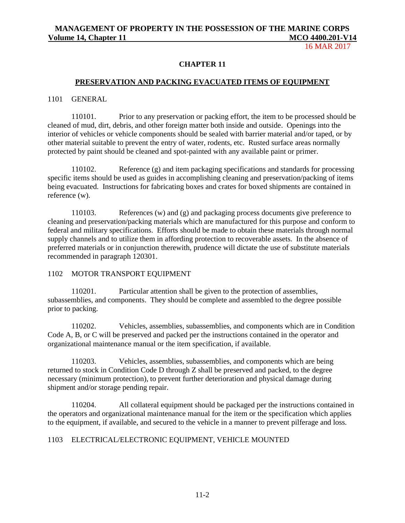16 MAR 2017

#### **CHAPTER 11**

#### **PRESERVATION AND PACKING EVACUATED ITEMS OF EQUIPMENT**

#### 1101 GENERAL

110101. Prior to any preservation or packing effort, the item to be processed should be cleaned of mud, dirt, debris, and other foreign matter both inside and outside. Openings into the interior of vehicles or vehicle components should be sealed with barrier material and/or taped, or by other material suitable to prevent the entry of water, rodents, etc. Rusted surface areas normally protected by paint should be cleaned and spot-painted with any available paint or primer.

110102. Reference (g) and item packaging specifications and standards for processing specific items should be used as guides in accomplishing cleaning and preservation/packing of items being evacuated. Instructions for fabricating boxes and crates for boxed shipments are contained in reference (w).

110103. References (w) and (g) and packaging process documents give preference to cleaning and preservation/packing materials which are manufactured for this purpose and conform to federal and military specifications. Efforts should be made to obtain these materials through normal supply channels and to utilize them in affording protection to recoverable assets. In the absence of preferred materials or in conjunction therewith, prudence will dictate the use of substitute materials recommended in paragraph 120301.

#### 1102 MOTOR TRANSPORT EQUIPMENT

110201. Particular attention shall be given to the protection of assemblies, subassemblies, and components. They should be complete and assembled to the degree possible prior to packing.

110202. Vehicles, assemblies, subassemblies, and components which are in Condition Code A, B, or C will be preserved and packed per the instructions contained in the operator and organizational maintenance manual or the item specification, if available.

110203. Vehicles, assemblies, subassemblies, and components which are being returned to stock in Condition Code D through Z shall be preserved and packed, to the degree necessary (minimum protection), to prevent further deterioration and physical damage during shipment and/or storage pending repair.

110204. All collateral equipment should be packaged per the instructions contained in the operators and organizational maintenance manual for the item or the specification which applies to the equipment, if available, and secured to the vehicle in a manner to prevent pilferage and loss.

#### 1103 ELECTRICAL/ELECTRONIC EQUIPMENT, VEHICLE MOUNTED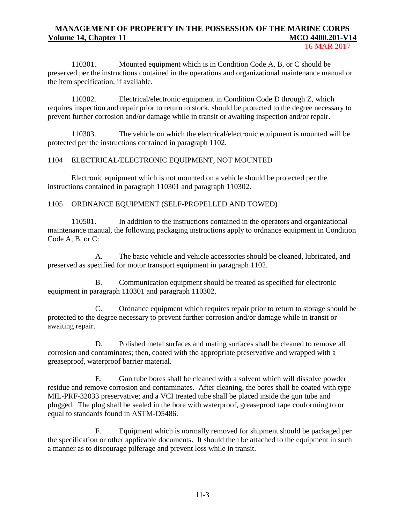16 MAR 2017

110301. Mounted equipment which is in Condition Code A, B, or C should be preserved per the instructions contained in the operations and organizational maintenance manual or the item specification, if available.

110302. Electrical/electronic equipment in Condition Code D through Z, which requires inspection and repair prior to return to stock, should be protected to the degree necessary to prevent further corrosion and/or damage while in transit or awaiting inspection and/or repair.

110303. The vehicle on which the electrical/electronic equipment is mounted will be protected per the instructions contained in paragraph 1102.

#### 1104 ELECTRICAL/ELECTRONIC EQUIPMENT, NOT MOUNTED

Electronic equipment which is not mounted on a vehicle should be protected per the instructions contained in paragraph 110301 and paragraph 110302.

#### 1105 ORDNANCE EQUIPMENT (SELF-PROPELLED AND TOWED)

110501. In addition to the instructions contained in the operators and organizational maintenance manual, the following packaging instructions apply to ordnance equipment in Condition Code A, B, or C:

A. The basic vehicle and vehicle accessories should be cleaned, lubricated, and preserved as specified for motor transport equipment in paragraph 1102.

B. Communication equipment should be treated as specified for electronic equipment in paragraph 110301 and paragraph 110302.

C. Ordnance equipment which requires repair prior to return to storage should be protected to the degree necessary to prevent further corrosion and/or damage while in transit or awaiting repair.

D. Polished metal surfaces and mating surfaces shall be cleaned to remove all corrosion and contaminates; then, coated with the appropriate preservative and wrapped with a greaseproof, waterproof barrier material.

E. Gun tube bores shall be cleaned with a solvent which will dissolve powder residue and remove corrosion and contaminates. After cleaning, the bores shall be coated with type MIL-PRF-32033 preservative; and a VCI treated tube shall be placed inside the gun tube and plugged. The plug shall be sealed in the bore with waterproof, greaseproof tape conforming to or equal to standards found in ASTM-D5486.

F. Equipment which is normally removed for shipment should be packaged per the specification or other applicable documents. It should then be attached to the equipment in such a manner as to discourage pilferage and prevent loss while in transit.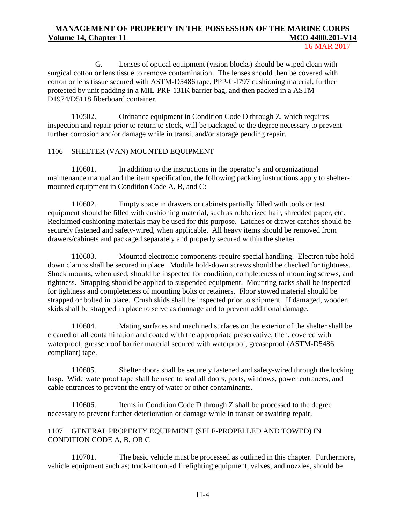16 MAR 2017

G. Lenses of optical equipment (vision blocks) should be wiped clean with surgical cotton or lens tissue to remove contamination. The lenses should then be covered with cotton or lens tissue secured with ASTM-D5486 tape, PPP-C-l797 cushioning material, further protected by unit padding in a MIL-PRF-131K barrier bag, and then packed in a ASTM-D1974/D5118 fiberboard container.

110502. Ordnance equipment in Condition Code D through Z, which requires inspection and repair prior to return to stock, will be packaged to the degree necessary to prevent further corrosion and/or damage while in transit and/or storage pending repair.

#### 1106 SHELTER (VAN) MOUNTED EQUIPMENT

110601. In addition to the instructions in the operator's and organizational maintenance manual and the item specification, the following packing instructions apply to sheltermounted equipment in Condition Code A, B, and C:

110602. Empty space in drawers or cabinets partially filled with tools or test equipment should be filled with cushioning material, such as rubberized hair, shredded paper, etc. Reclaimed cushioning materials may be used for this purpose. Latches or drawer catches should be securely fastened and safety-wired, when applicable. All heavy items should be removed from drawers/cabinets and packaged separately and properly secured within the shelter.

110603. Mounted electronic components require special handling. Electron tube holddown clamps shall be secured in place. Module hold-down screws should be checked for tightness. Shock mounts, when used, should be inspected for condition, completeness of mounting screws, and tightness. Strapping should be applied to suspended equipment. Mounting racks shall be inspected for tightness and completeness of mounting bolts or retainers. Floor stowed material should be strapped or bolted in place. Crush skids shall be inspected prior to shipment. If damaged, wooden skids shall be strapped in place to serve as dunnage and to prevent additional damage.

110604. Mating surfaces and machined surfaces on the exterior of the shelter shall be cleaned of all contamination and coated with the appropriate preservative; then, covered with waterproof, greaseproof barrier material secured with waterproof, greaseproof (ASTM-D5486 compliant) tape.

110605. Shelter doors shall be securely fastened and safety-wired through the locking hasp. Wide waterproof tape shall be used to seal all doors, ports, windows, power entrances, and cable entrances to prevent the entry of water or other contaminants.

110606. Items in Condition Code D through Z shall be processed to the degree necessary to prevent further deterioration or damage while in transit or awaiting repair.

#### 1107 GENERAL PROPERTY EQUIPMENT (SELF-PROPELLED AND TOWED) IN CONDITION CODE A, B, OR C

110701. The basic vehicle must be processed as outlined in this chapter. Furthermore, vehicle equipment such as; truck-mounted firefighting equipment, valves, and nozzles, should be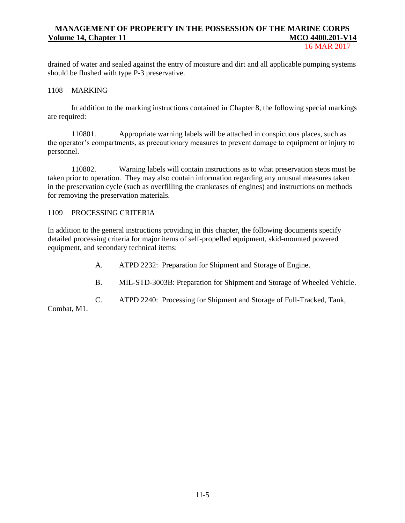16 MAR 2017

drained of water and sealed against the entry of moisture and dirt and all applicable pumping systems should be flushed with type P-3 preservative.

#### 1108 MARKING

In addition to the marking instructions contained in Chapter 8, the following special markings are required:

110801. Appropriate warning labels will be attached in conspicuous places, such as the operator's compartments, as precautionary measures to prevent damage to equipment or injury to personnel.

110802. Warning labels will contain instructions as to what preservation steps must be taken prior to operation. They may also contain information regarding any unusual measures taken in the preservation cycle (such as overfilling the crankcases of engines) and instructions on methods for removing the preservation materials.

#### 1109 PROCESSING CRITERIA

In addition to the general instructions providing in this chapter, the following documents specify detailed processing criteria for major items of self-propelled equipment, skid-mounted powered equipment, and secondary technical items:

- A. ATPD 2232: Preparation for Shipment and Storage of Engine.
- B. MIL-STD-3003B: Preparation for Shipment and Storage of Wheeled Vehicle.
- C. ATPD 2240: Processing for Shipment and Storage of Full-Tracked, Tank,

Combat, M1.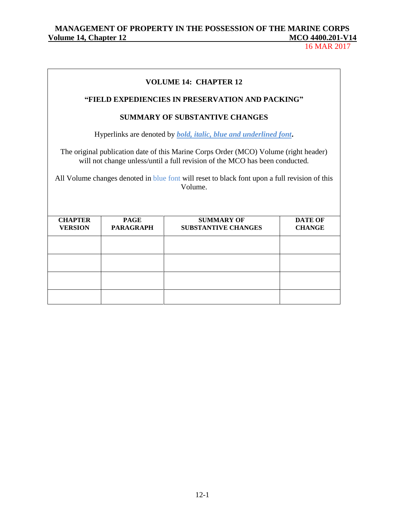## MANAGEMENT OF PROPERTY IN THE POSSESSION OF THE MARINE CORPS<br>
<u>Olume 14, Chapter 12</u> **Volume 14, Chapter 12** MCO 4400.201-12

16 MAR 2017

| <b>VOLUME 14: CHAPTER 12</b><br>"FIELD EXPEDIENCIES IN PRESERVATION AND PACKING"                                                                                                                                                                                                |                                 |                                                                           |                                 |  |
|---------------------------------------------------------------------------------------------------------------------------------------------------------------------------------------------------------------------------------------------------------------------------------|---------------------------------|---------------------------------------------------------------------------|---------------------------------|--|
| <b>SUMMARY OF SUBSTANTIVE CHANGES</b>                                                                                                                                                                                                                                           |                                 |                                                                           |                                 |  |
|                                                                                                                                                                                                                                                                                 |                                 | Hyperlinks are denoted by <i>bold, italic, blue and underlined font</i> . |                                 |  |
| The original publication date of this Marine Corps Order (MCO) Volume (right header)<br>will not change unless/until a full revision of the MCO has been conducted.<br>All Volume changes denoted in blue font will reset to black font upon a full revision of this<br>Volume. |                                 |                                                                           |                                 |  |
| <b>CHAPTER</b><br><b>VERSION</b>                                                                                                                                                                                                                                                | <b>PAGE</b><br><b>PARAGRAPH</b> | <b>SUMMARY OF</b><br><b>SUBSTANTIVE CHANGES</b>                           | <b>DATE OF</b><br><b>CHANGE</b> |  |
|                                                                                                                                                                                                                                                                                 |                                 |                                                                           |                                 |  |
|                                                                                                                                                                                                                                                                                 |                                 |                                                                           |                                 |  |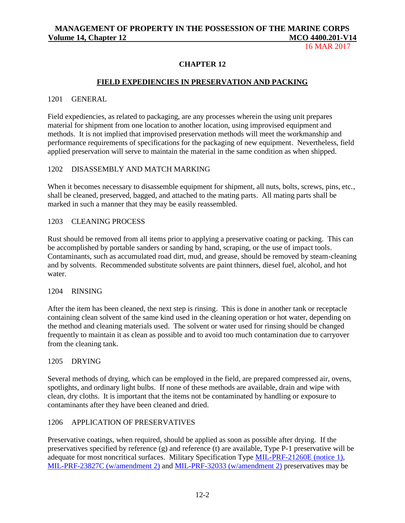16 MAR 2017

#### **CHAPTER 12**

#### **FIELD EXPEDIENCIES IN PRESERVATION AND PACKING**

#### 1201 GENERAL

Field expediencies, as related to packaging, are any processes wherein the using unit prepares material for shipment from one location to another location, using improvised equipment and methods. It is not implied that improvised preservation methods will meet the workmanship and performance requirements of specifications for the packaging of new equipment. Nevertheless, field applied preservation will serve to maintain the material in the same condition as when shipped.

#### 1202 DISASSEMBLY AND MATCH MARKING

When it becomes necessary to disassemble equipment for shipment, all nuts, bolts, screws, pins, etc., shall be cleaned, preserved, bagged, and attached to the mating parts. All mating parts shall be marked in such a manner that they may be easily reassembled.

#### 1203 CLEANING PROCESS

Rust should be removed from all items prior to applying a preservative coating or packing. This can be accomplished by portable sanders or sanding by hand, scraping, or the use of impact tools. Contaminants, such as accumulated road dirt, mud, and grease, should be removed by steam-cleaning and by solvents. Recommended substitute solvents are paint thinners, diesel fuel, alcohol, and hot water.

#### 1204 RINSING

After the item has been cleaned, the next step is rinsing. This is done in another tank or receptacle containing clean solvent of the same kind used in the cleaning operation or hot water, depending on the method and cleaning materials used. The solvent or water used for rinsing should be changed frequently to maintain it as clean as possible and to avoid too much contamination due to carryover from the cleaning tank.

#### 1205 DRYING

Several methods of drying, which can be employed in the field, are prepared compressed air, ovens, spotlights, and ordinary light bulbs. If none of these methods are available, drain and wipe with clean, dry cloths. It is important that the items not be contaminated by handling or exposure to contaminants after they have been cleaned and dried.

#### 1206 APPLICATION OF PRESERVATIVES

Preservative coatings, when required, should be applied as soon as possible after drying. If the preservatives specified by reference (g) and reference (t) are available, Type P-1 preservative will be adequate for most noncritical surfaces. Military Specification Type [MIL-PRF-21260E \(notice 1\),](http://everyspec.com/MIL-PRF/MIL-PRF-010000-29999/MIL-PRF-21260E_NOTICE-1_42048/) [MIL-PRF-23827C \(w/amendment 2\)](http://everyspec.com/MIL-PRF/MIL-PRF-010000-29999/MIL-PRF-23827C_AMENDMENT-2_25591/) and [MIL-PRF-32033 \(w/amendment 2\)](http://everyspec.com/MIL-PRF/MIL-PRF-030000-79999/MIL-PRF-32033_AMENDMENT-2_7688/) preservatives may be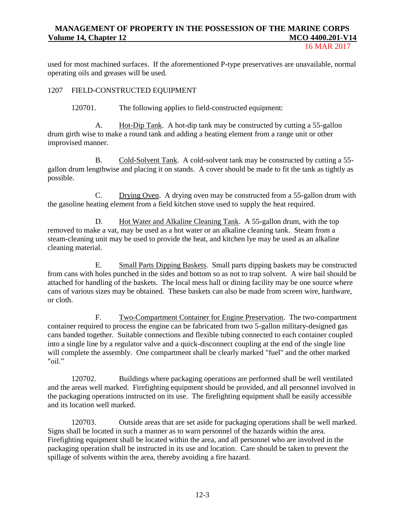16 MAR 2017

used for most machined surfaces. If the aforementioned P-type preservatives are unavailable, normal operating oils and greases will be used.

#### 1207 FIELD-CONSTRUCTED EQUIPMENT

120701. The following applies to field-constructed equipment:

A. Hot-Dip Tank. A hot-dip tank may be constructed by cutting a 55-gallon drum girth wise to make a round tank and adding a heating element from a range unit or other improvised manner.

B. Cold-Solvent Tank. A cold-solvent tank may be constructed by cutting a 55 gallon drum lengthwise and placing it on stands. A cover should be made to fit the tank as tightly as possible.

C. Drying Oven. A drying oven may be constructed from a 55-gallon drum with the gasoline heating element from a field kitchen stove used to supply the heat required.

D. Hot Water and Alkaline Cleaning Tank. A 55-gallon drum, with the top removed to make a vat, may be used as a hot water or an alkaline cleaning tank. Steam from a steam-cleaning unit may be used to provide the heat, and kitchen lye may be used as an alkaline cleaning material.

E. Small Parts Dipping Baskets. Small parts dipping baskets may be constructed from cans with holes punched in the sides and bottom so as not to trap solvent. A wire bail should be attached for handling of the baskets. The local mess hall or dining facility may be one source where cans of various sizes may be obtained. These baskets can also be made from screen wire, hardware, or cloth.

F. Two-Compartment Container for Engine Preservation. The two-compartment container required to process the engine can be fabricated from two 5-gallon military-designed gas cans banded together. Suitable connections and flexible tubing connected to each container coupled into a single line by a regulator valve and a quick-disconnect coupling at the end of the single line will complete the assembly. One compartment shall be clearly marked "fuel" and the other marked "oil."

120702. Buildings where packaging operations are performed shall be well ventilated and the areas well marked. Firefighting equipment should be provided, and all personnel involved in the packaging operations instructed on its use. The firefighting equipment shall be easily accessible and its location well marked.

120703. Outside areas that are set aside for packaging operations shall be well marked. Signs shall be located in such a manner as to warn personnel of the hazards within the area. Firefighting equipment shall be located within the area, and all personnel who are involved in the packaging operation shall be instructed in its use and location. Care should be taken to prevent the spillage of solvents within the area, thereby avoiding a fire hazard.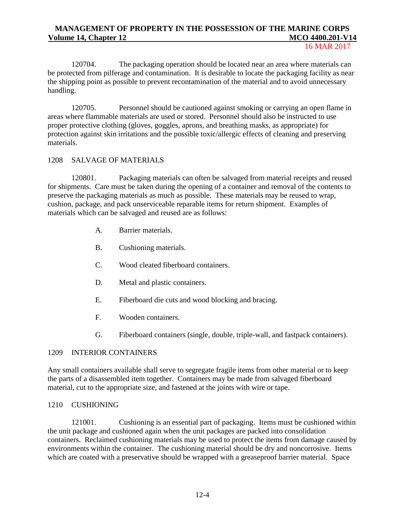16 MAR 2017

120704. The packaging operation should be located near an area where materials can be protected from pilferage and contamination. It is desirable to locate the packaging facility as near the shipping point as possible to prevent recontamination of the material and to avoid unnecessary handling.

120705. Personnel should be cautioned against smoking or carrying an open flame in areas where flammable materials are used or stored. Personnel should also be instructed to use proper protective clothing (gloves, goggles, aprons, and breathing masks, as appropriate) for protection against skin irritations and the possible toxic/allergic effects of cleaning and preserving materials.

#### 1208 SALVAGE OF MATERIALS

120801. Packaging materials can often be salvaged from material receipts and reused for shipments. Care must be taken during the opening of a container and removal of the contents to preserve the packaging materials as much as possible. These materials may be reused to wrap, cushion, package, and pack unserviceable reparable items for return shipment. Examples of materials which can be salvaged and reused are as follows:

- A. Barrier materials.
- B. Cushioning materials.
- C. Wood cleated fiberboard containers.
- D. Metal and plastic containers.
- E. Fiberboard die cuts and wood blocking and bracing.
- F. Wooden containers.
- G. Fiberboard containers (single, double, triple-wall, and fastpack containers).

#### 1209 INTERIOR CONTAINERS

Any small containers available shall serve to segregate fragile items from other material or to keep the parts of a disassembled item together. Containers may be made from salvaged fiberboard material, cut to the appropriate size, and fastened at the joints with wire or tape.

#### 1210 CUSHIONING

121001. Cushioning is an essential part of packaging. Items must be cushioned within the unit package and cushioned again when the unit packages are packed into consolidation containers. Reclaimed cushioning materials may be used to protect the items from damage caused by environments within the container. The cushioning material should be dry and noncorrosive. Items which are coated with a preservative should be wrapped with a greaseproof barrier material. Space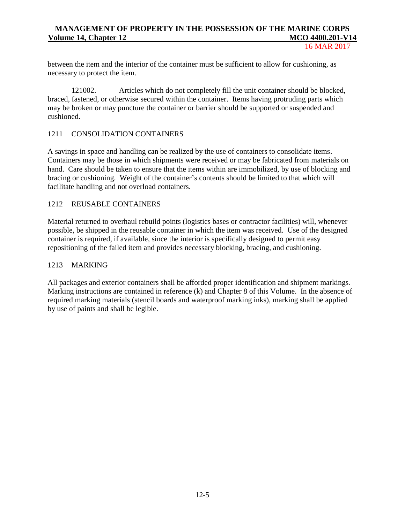16 MAR 2017

between the item and the interior of the container must be sufficient to allow for cushioning, as necessary to protect the item.

121002. Articles which do not completely fill the unit container should be blocked, braced, fastened, or otherwise secured within the container. Items having protruding parts which may be broken or may puncture the container or barrier should be supported or suspended and cushioned.

### 1211 CONSOLIDATION CONTAINERS

A savings in space and handling can be realized by the use of containers to consolidate items. Containers may be those in which shipments were received or may be fabricated from materials on hand. Care should be taken to ensure that the items within are immobilized, by use of blocking and bracing or cushioning. Weight of the container's contents should be limited to that which will facilitate handling and not overload containers.

#### 1212 REUSABLE CONTAINERS

Material returned to overhaul rebuild points (logistics bases or contractor facilities) will, whenever possible, be shipped in the reusable container in which the item was received. Use of the designed container is required, if available, since the interior is specifically designed to permit easy repositioning of the failed item and provides necessary blocking, bracing, and cushioning.

#### 1213 MARKING

All packages and exterior containers shall be afforded proper identification and shipment markings. Marking instructions are contained in reference (k) and Chapter 8 of this Volume. In the absence of required marking materials (stencil boards and waterproof marking inks), marking shall be applied by use of paints and shall be legible.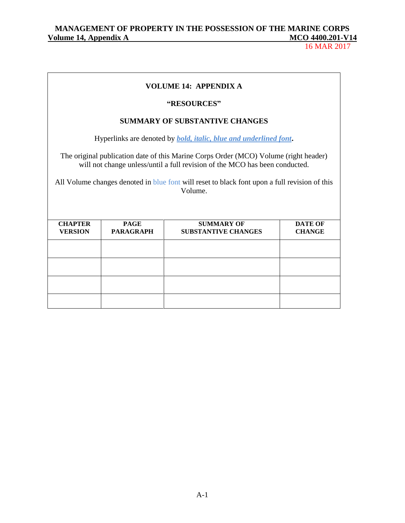16 MAR 2017

### **VOLUME 14: APPENDIX A**

#### **"RESOURCES"**

### **SUMMARY OF SUBSTANTIVE CHANGES**

Hyperlinks are denoted by *bold, italic, blue and underlined font***.**

The original publication date of this Marine Corps Order (MCO) Volume (right header) will not change unless/until a full revision of the MCO has been conducted.

All Volume changes denoted in blue font will reset to black font upon a full revision of this Volume.

| <b>CHAPTER</b><br><b>VERSION</b> | <b>PAGE</b><br><b>PARAGRAPH</b> | <b>SUMMARY OF</b><br><b>SUBSTANTIVE CHANGES</b> | <b>DATE OF</b><br><b>CHANGE</b> |
|----------------------------------|---------------------------------|-------------------------------------------------|---------------------------------|
|                                  |                                 |                                                 |                                 |
|                                  |                                 |                                                 |                                 |
|                                  |                                 |                                                 |                                 |
|                                  |                                 |                                                 |                                 |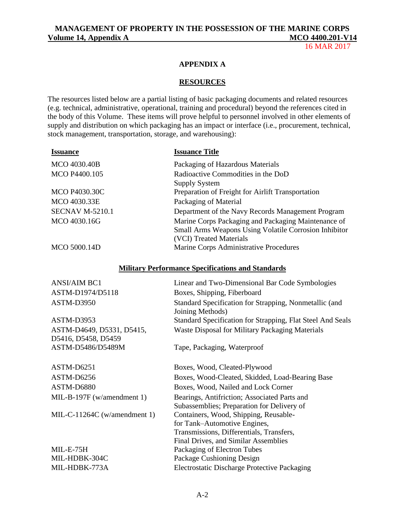## **MANAGEMENT OF PROPERTY IN THE POSSESSION OF THE MARINE CORPS Volume 14, Appendix A** MCO 4400.201-V14

16 MAR 2017

#### **APPENDIX A**

### **RESOURCES**

The resources listed below are a partial listing of basic packaging documents and related resources (e.g. technical, administrative, operational, training and procedural) beyond the references cited in the body of this Volume. These items will prove helpful to personnel involved in other elements of supply and distribution on which packaging has an impact or interface (i.e., procurement, technical, stock management, transportation, storage, and warehousing):

| <b>Issuance</b>        | <b>Issuance Title</b>                                                                                                                          |
|------------------------|------------------------------------------------------------------------------------------------------------------------------------------------|
| MCO 4030.40B           | Packaging of Hazardous Materials                                                                                                               |
| MCO P4400.105          | Radioactive Commodities in the DoD<br><b>Supply System</b>                                                                                     |
| <b>MCO P4030.30C</b>   | Preparation of Freight for Airlift Transportation                                                                                              |
| MCO 4030.33E           | Packaging of Material                                                                                                                          |
| <b>SECNAV M-5210.1</b> | Department of the Navy Records Management Program                                                                                              |
| MCO 4030.16G           | Marine Corps Packaging and Packaging Maintenance of<br><b>Small Arms Weapons Using Volatile Corrosion Inhibitor</b><br>(VCI) Treated Materials |
| MCO 5000.14D           | Marine Corps Administrative Procedures                                                                                                         |

## **Military Performance Specifications and Standards**

| <b>ANSI/AIM BC1</b>                              | Linear and Two-Dimensional Bar Code Symbologies                                                                                                           |
|--------------------------------------------------|-----------------------------------------------------------------------------------------------------------------------------------------------------------|
| ASTM-D1974/D5118                                 | Boxes, Shipping, Fiberboard                                                                                                                               |
| ASTM-D3950                                       | Standard Specification for Strapping, Nonmetallic (and<br>Joining Methods)                                                                                |
| ASTM-D3953                                       | Standard Specification for Strapping, Flat Steel And Seals                                                                                                |
| ASTM-D4649, D5331, D5415,<br>D5416, D5458, D5459 | <b>Waste Disposal for Military Packaging Materials</b>                                                                                                    |
| ASTM-D5486/D5489M                                | Tape, Packaging, Waterproof                                                                                                                               |
| ASTM-D6251                                       | Boxes, Wood, Cleated-Plywood                                                                                                                              |
| ASTM-D6256                                       | Boxes, Wood-Cleated, Skidded, Load-Bearing Base                                                                                                           |
| ASTM-D6880                                       | Boxes, Wood, Nailed and Lock Corner                                                                                                                       |
| MIL-B-197F (w/amendment 1)                       | Bearings, Antifriction; Associated Parts and<br>Subassemblies; Preparation for Delivery of                                                                |
| MIL-C-11264C (w/amendment 1)                     | Containers, Wood, Shipping, Reusable-<br>for Tank-Automotive Engines,<br>Transmissions, Differentials, Transfers,<br>Final Drives, and Similar Assemblies |
| MIL-E-75H                                        | Packaging of Electron Tubes                                                                                                                               |
| MIL-HDBK-304C                                    | Package Cushioning Design                                                                                                                                 |
| MIL-HDBK-773A                                    | <b>Electrostatic Discharge Protective Packaging</b>                                                                                                       |